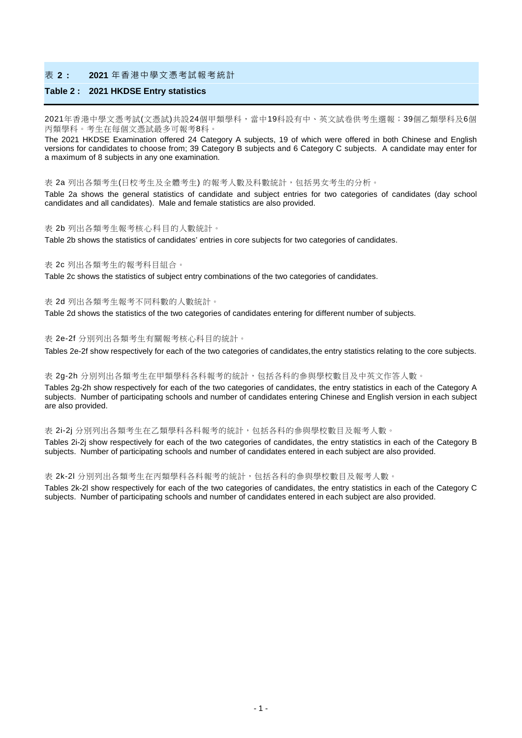#### 表 **2 : 2021** 年香港中學文憑考試報考統計

#### **Table 2 : 2021 HKDSE Entry statistics**

2021年香港中學文憑考試(文憑試)共設24個甲類學科,當中19科設有中、英文試卷供考生選報;39個乙類學科及6個 丙類學科。考生在每個文憑試最多可報考8科。

The 2021 HKDSE Examination offered 24 Category A subjects, 19 of which were offered in both Chinese and English versions for candidates to choose from; 39 Category B subjects and 6 Category C subjects. A candidate may enter for a maximum of 8 subjects in any one examination.

表 2a 列出各類考生(日校考生及全體考生) 的報考人數及科數統計,包括男女考生的分析。

Table 2a shows the general statistics of candidate and subject entries for two categories of candidates (day school candidates and all candidates). Male and female statistics are also provided.

#### 表 2b 列出各類考生報考核心科目的人數統計。

Table 2b shows the statistics of candidates' entries in core subjects for two categories of candidates.

#### 表 2c 列出各類考生的報考科目組合。

Table 2c shows the statistics of subject entry combinations of the two categories of candidates.

#### 表 2d 列出各類考生報考不同科數的人數統計。

Table 2d shows the statistics of the two categories of candidates entering for different number of subjects.

#### 表 2e-2f 分別列出各類考生有關報考核心科目的統計。

Tables 2e-2f show respectively for each of the two categories of candidates, the entry statistics relating to the core subjects.

#### 表 2g-2h 分別列出各類考生在甲類學科各科報考的統計,包括各科的參與學校數目及中英文作答人數。

Tables 2g-2h show respectively for each of the two categories of candidates, the entry statistics in each of the Category A subjects. Number of participating schools and number of candidates entering Chinese and English version in each subject are also provided.

#### 表 2i-2j 分別列出各類考生在乙類學科各科報考的統計,包括各科的參與學校數目及報考人數。

Tables 2i-2j show respectively for each of the two categories of candidates, the entry statistics in each of the Category B subjects. Number of participating schools and number of candidates entered in each subject are also provided.

#### 表 2k-2l 分別列出各類考生在丙類學科各科報考的統計,包括各科的參與學校數目及報考人數。

Tables 2k-2l show respectively for each of the two categories of candidates, the entry statistics in each of the Category C subjects. Number of participating schools and number of candidates entered in each subject are also provided.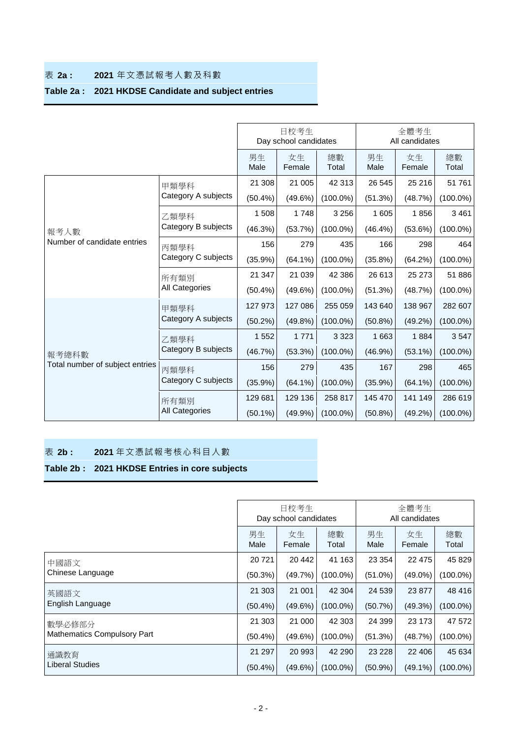## 表 **2a : 2021** 年文憑試報考人數及科數

# **Table 2a : 2021 HKDSE Candidate and subject entries**

|                                     |                     |            | 日校考生<br>Day school candidates |             |            | 全體考生<br>All candidates |             |
|-------------------------------------|---------------------|------------|-------------------------------|-------------|------------|------------------------|-------------|
|                                     |                     | 男生<br>Male | 女生<br>Female                  | 總數<br>Total | 男生<br>Male | 女生<br>Female           | 總數<br>Total |
|                                     | 甲類學科                | 21 308     | 21 005                        | 42 313      | 26 545     | 25 216                 | 51 761      |
|                                     | Category A subjects | $(50.4\%)$ | $(49.6\%)$                    | $(100.0\%)$ | (51.3%)    | (48.7%)                | $(100.0\%)$ |
|                                     | 乙類學科                | 1 508      | 1748                          | 3 2 5 6     | 1 605      | 1856                   | 3 4 6 1     |
| 報考人數<br>Number of candidate entries | Category B subjects | (46.3%)    | (53.7%)                       | $(100.0\%)$ | $(46.4\%)$ | $(53.6\%)$             | $(100.0\%)$ |
|                                     | 丙類學科                | 156        | 279                           | 435         | 166        | 298                    | 464         |
|                                     | Category C subjects | $(35.9\%)$ | $(64.1\%)$                    | $(100.0\%)$ | $(35.8\%)$ | (64.2%)                | $(100.0\%)$ |
|                                     | 所有類別                | 21 347     | 21 039                        | 42 38 6     | 26 613     | 25 273                 | 51886       |
|                                     | All Categories      | $(50.4\%)$ | $(49.6\%)$                    | $(100.0\%)$ | (51.3%)    | (48.7%)                | $(100.0\%)$ |
|                                     | 甲類學科                | 127 973    | 127 086                       | 255 059     | 143 640    | 138 967                | 282 607     |
|                                     | Category A subjects | $(50.2\%)$ | $(49.8\%)$                    | $(100.0\%)$ | $(50.8\%)$ | $(49.2\%)$             | $(100.0\%)$ |
|                                     | 乙類學科                | 1 5 5 2    | 1 7 7 1                       | 3 3 2 3     | 1 6 6 3    | 1884                   | 3547        |
| 報考總科數                               | Category B subjects | (46.7%)    | (53.3%)                       | $(100.0\%)$ | $(46.9\%)$ | $(53.1\%)$             | $(100.0\%)$ |
| Total number of subject entries     | 丙類學科                | 156        | 279                           | 435         | 167        | 298                    | 465         |
|                                     | Category C subjects | $(35.9\%)$ | $(64.1\%)$                    | $(100.0\%)$ | $(35.9\%)$ | $(64.1\%)$             | $(100.0\%)$ |
|                                     | 所有類別                | 129 681    | 129 136                       | 258 817     | 145 470    | 141 149                | 286 619     |
|                                     | All Categories      | $(50.1\%)$ | (49.9%                        | $(100.0\%)$ | $(50.8\%)$ | $(49.2\%)$             | $(100.0\%)$ |

## 表 **2b : 2021** 年文憑試報考核心科目人數

# **Table 2b : 2021 HKDSE Entries in core subjects**

|                             |            | 日校考生<br>Day school candidates |             | 全體考生<br>All candidates |              |             |  |  |
|-----------------------------|------------|-------------------------------|-------------|------------------------|--------------|-------------|--|--|
|                             | 男生<br>Male | 女生<br>Female                  | 總數<br>Total | 男生<br>Male             | 女生<br>Female | 總數<br>Total |  |  |
| 中國語文                        | 20 7 21    | 20 442                        | 41 163      | 23 3 54                | 22 4 7 5     | 45 829      |  |  |
| Chinese Language            | (50.3%)    | (49.7%)                       | $(100.0\%)$ | $(51.0\%)$             | $(49.0\%)$   | $(100.0\%)$ |  |  |
| 英國語文                        | 21 30 3    | 21 001                        | 42 304      | 24 539                 | 23 877       | 48 416      |  |  |
| English Language            | $(50.4\%)$ | (49.6%)                       | $(100.0\%)$ | (50.7%)                | $(49.3\%)$   | $(100.0\%)$ |  |  |
| 數學必修部分                      | 21 303     | 21 000                        | 42 303      | 24 399                 | 23 173       | 47 572      |  |  |
| Mathematics Compulsory Part | $(50.4\%)$ | (49.6%)                       | $(100.0\%)$ | (51.3%)                | (48.7%)      | $(100.0\%)$ |  |  |
| 通識教育                        | 21 297     | 20 993                        | 42 290      | 23 2 28                | 22 406       | 45 634      |  |  |
| Liberal Studies             | $(50.4\%)$ | (49.6%)                       | $(100.0\%)$ | $(50.9\%)$             | $(49.1\%)$   | $(100.0\%)$ |  |  |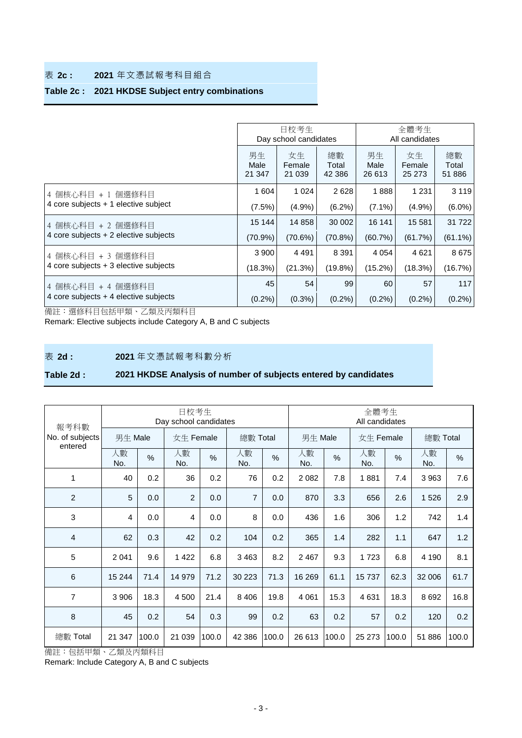## 表 **2c : 2021** 年文憑試報考科目組合

## **Table 2c : 2021 HKDSE Subject entry combinations**

|                                        |                      | 日校考生<br>Day school candidates |                       | 全體考生<br>All candidates |                        |                       |  |  |  |  |
|----------------------------------------|----------------------|-------------------------------|-----------------------|------------------------|------------------------|-----------------------|--|--|--|--|
|                                        | 男生<br>Male<br>21 347 | 女生<br>Female<br>21 0 39       | 總數<br>Total<br>42 386 | 男生<br>Male<br>26 613   | 女生<br>Female<br>25 273 | 總數<br>Total<br>51 886 |  |  |  |  |
| 4 個核心科目 +1 個選修科目                       | 1 604                | 1 0 2 4                       | 2628                  | 1888                   | 1 2 3 1                | 3 1 1 9               |  |  |  |  |
| 4 core subjects $+1$ elective subject  | $(7.5\%)$            | (4.9%)                        | $(6.2\%)$             | $(7.1\%)$              | $(4.9\%)$              | $(6.0\%)$             |  |  |  |  |
| 4 個核心科目 + 2 個選修科目                      | 15 144               | 14 858                        | 30 002                | 16 141                 | 15 581                 | 31 7 22               |  |  |  |  |
| 4 core subjects + 2 elective subjects  | $(70.9\%)$           | (70.6%)                       | (70.8%)               | (60.7%)                | (61.7%)                | $(61.1\%)$            |  |  |  |  |
| 4 個核心科目 + 3 個選修科目                      | 3 9 0 0              | 4 4 9 1                       | 8 3 9 1               | 4 0 5 4                | 4621                   | 8675                  |  |  |  |  |
| 4 core subjects $+3$ elective subjects | (18.3%)              | (21.3%)                       | $(19.8\%)$            | $(15.2\%)$             | $(18.3\%)$             | (16.7%)               |  |  |  |  |
| 4 個核心科目 + 4 個選修科目                      | 45                   | 54                            | 99                    | 60                     | 57                     | 117                   |  |  |  |  |
| 4 core subjects + 4 elective subjects  | $(0.2\%)$            | $(0.3\%)$                     | $(0.2\%)$             | $(0.2\%)$              | $(0.2\%)$              | $(0.2\%)$             |  |  |  |  |

備註:選修科目包括甲類、乙類及丙類科目

Remark: Elective subjects include Category A, B and C subjects

表 **2d : 2021** 年文憑試報考科數分析

## **Table 2d : 2021 HKDSE Analysis of number of subjects entered by candidates**

|                                    |           |               | 日校考生<br>Day school candidates |               |                |               | 全體考生<br>All candidates |       |           |               |           |               |  |
|------------------------------------|-----------|---------------|-------------------------------|---------------|----------------|---------------|------------------------|-------|-----------|---------------|-----------|---------------|--|
| 報考科數<br>No. of subjects<br>entered | 男生 Male   |               | 女生 Female                     |               | 總數 Total       |               | 男生 Male                |       | 女生 Female |               | 總數 Total  |               |  |
|                                    | 人數<br>No. | $\frac{0}{0}$ | 人數<br>No.                     | $\frac{0}{0}$ | 人數<br>No.      | $\frac{0}{0}$ | 人數<br>No.              | $\%$  | 人數<br>No. | $\frac{0}{0}$ | 人數<br>No. | $\frac{0}{0}$ |  |
| 1                                  | 40        | 0.2           | 36                            | 0.2           | 76             | 0.2           | 2082                   | 7.8   | 1881      | 7.4           | 3 9 6 3   | 7.6           |  |
| $\overline{2}$                     | 5         | 0.0           | $\overline{2}$                | 0.0           | $\overline{7}$ | 0.0           | 870                    | 3.3   | 656       | 2.6           | 1526      | 2.9           |  |
| 3                                  | 4         | 0.0           | 4                             | 0.0           | 8              | 0.0           | 436                    | 1.6   | 306       | 1.2           | 742       | 1.4           |  |
| $\overline{4}$                     | 62        | 0.3           | 42                            | 0.2           | 104            | 0.2           | 365                    | 1.4   | 282       | 1.1           | 647       | 1.2           |  |
| 5                                  | 2 0 4 1   | 9.6           | 1 4 2 2                       | 6.8           | 3463           | 8.2           | 2 4 6 7                | 9.3   | 1723      | 6.8           | 4 1 9 0   | 8.1           |  |
| $6\phantom{1}6$                    | 15 244    | 71.4          | 14 979                        | 71.2          | 30 223         | 71.3          | 16 269                 | 61.1  | 15737     | 62.3          | 32 006    | 61.7          |  |
| 7                                  | 3 9 0 6   | 18.3          | 4 500                         | 21.4          | 8 4 0 6        | 19.8          | 4 0 6 1                | 15.3  | 4 6 3 1   | 18.3          | 8692      | 16.8          |  |
| $\,8\,$                            | 45        | 0.2           | 54                            | 0.3           | 99             | 0.2           | 63                     | 0.2   | 57        | 0.2           | 120       | 0.2           |  |
| 總數 Total                           | 21 347    | 100.0         | 21 039                        | 100.0         | 42 386         | 100.0         | 26 613                 | 100.0 | 25 273    | 100.0         | 51 886    | 100.0         |  |

備註:包括甲類、乙類及丙類科目

Remark: Include Category A, B and C subjects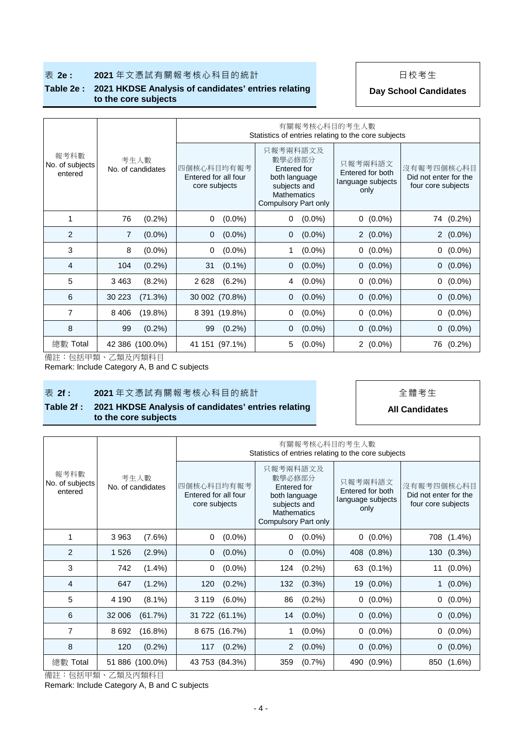### **表 2e : 2021** 年文憑試有關報考核心科目的統計 | 日校考生

#### **Table 2e : 2021 HKDSE Analysis of candidates' entries relating to the core subjects**

**Day School Candidates**

|                                    |                             |                                                     | 有關報考核心科目的考生人數<br>Statistics of entries relating to the core subjects                                      |                                                          |                                                           |  |  |  |  |  |  |  |  |  |
|------------------------------------|-----------------------------|-----------------------------------------------------|-----------------------------------------------------------------------------------------------------------|----------------------------------------------------------|-----------------------------------------------------------|--|--|--|--|--|--|--|--|--|
| 報考科數<br>No. of subjects<br>entered | 考生人數<br>No. of candidates   | 四個核心科目均有報考<br>Entered for all four<br>core subjects | 只報考兩科語文及<br>數學必修部分<br>Entered for<br>both language<br>subjects and<br>Mathematics<br>Compulsory Part only | 只報考兩科語文<br>Entered for both<br>language subjects<br>only | 沒有報考四個核心科目<br>Did not enter for the<br>four core subjects |  |  |  |  |  |  |  |  |  |
| 1                                  | 76<br>(0.2%)                | $(0.0\%)$<br>0                                      | $(0.0\%)$<br>0                                                                                            | $0(0.0\%)$                                               | 74 (0.2%)                                                 |  |  |  |  |  |  |  |  |  |
| 2                                  | $\overline{7}$<br>$(0.0\%)$ | $(0.0\%)$<br>$\mathbf 0$                            | $(0.0\%)$<br>0                                                                                            | $2(0.0\%)$                                               | $2(0.0\%)$                                                |  |  |  |  |  |  |  |  |  |
| 3                                  | $(0.0\%)$<br>8              | $(0.0\%)$<br>0                                      | $(0.0\%)$<br>1                                                                                            | $0(0.0\%)$                                               | $(0.0\%)$<br>$\overline{0}$                               |  |  |  |  |  |  |  |  |  |
| 4                                  | (0.2%)<br>104               | 31<br>$(0.1\%)$                                     | $(0.0\%)$<br>0                                                                                            | $0(0.0\%)$                                               | $0(0.0\%)$                                                |  |  |  |  |  |  |  |  |  |
| 5                                  | $(8.2\%)$<br>3 4 6 3        | 2 6 2 8<br>(6.2%)                                   | $(0.0\%)$<br>4                                                                                            | $0(0.0\%)$                                               | $0(0.0\%)$                                                |  |  |  |  |  |  |  |  |  |
| 6                                  | 30 223<br>(71.3%)           | 30 002 (70.8%)                                      | $(0.0\%)$<br>0                                                                                            | $0(0.0\%)$                                               | $0(0.0\%)$                                                |  |  |  |  |  |  |  |  |  |
| 7                                  | (19.8%)<br>8 4 0 6          | 8 391 (19.8%)                                       | $(0.0\%)$<br>0                                                                                            | $0(0.0\%)$                                               | $(0.0\%)$<br>$\mathbf{0}$                                 |  |  |  |  |  |  |  |  |  |
| 8                                  | (0.2%)<br>99                | (0.2%)<br>99                                        | $(0.0\%)$<br>0                                                                                            | $0(0.0\%)$                                               | $0(0.0\%)$                                                |  |  |  |  |  |  |  |  |  |
| 總數 Total                           | 42 386 (100.0%)             | 41 151 (97.1%)                                      | $(0.0\%)$<br>5                                                                                            | $2(0.0\%)$                                               | 76<br>$(0.2\%)$                                           |  |  |  |  |  |  |  |  |  |

備註:包括甲類、乙類及丙類科目

Remark: Include Category A, B and C subjects

## **表 2f : 2021** 年文憑試有關報考核心科目的統計 → → → → → 全體考生

### **Table 2f : 2021 HKDSE Analysis of candidates' entries relating to the core subjects**

## **All Candidates**

|                                    |                           |                                                     | 有關報考核心科目的考生人數<br>Statistics of entries relating to the core subjects                                             |                                                          |                                                           |  |
|------------------------------------|---------------------------|-----------------------------------------------------|------------------------------------------------------------------------------------------------------------------|----------------------------------------------------------|-----------------------------------------------------------|--|
| 報考科數<br>No. of subjects<br>entered | 考生人數<br>No. of candidates | 四個核心科目均有報考<br>Entered for all four<br>core subjects | 只報考兩科語文及<br>數學必修部分<br>Entered for<br>both language<br>subjects and<br><b>Mathematics</b><br>Compulsory Part only | 只報考兩科語文<br>Entered for both<br>language subjects<br>only | 沒有報考四個核心科目<br>Did not enter for the<br>four core subjects |  |
| 1                                  | 3 9 6 3<br>(7.6%)         | $(0.0\%)$<br>0                                      | $(0.0\%)$<br>0                                                                                                   | $0(0.0\%)$                                               | 708 (1.4%)                                                |  |
| 2                                  | $(2.9\%)$<br>1 5 2 6      | $(0.0\%)$<br>$\mathbf 0$                            | $(0.0\%)$<br>0                                                                                                   | 408 (0.8%)                                               | 130 (0.3%)                                                |  |
| 3                                  | 742<br>$(1.4\%)$          | $(0.0\%)$<br>$\mathbf 0$                            | $(0.2\%)$<br>124                                                                                                 | 63 (0.1%)                                                | $(0.0\%)$<br>11                                           |  |
| 4                                  | $(1.2\%)$<br>647          | 120<br>$(0.2\%)$                                    | $(0.3\%)$<br>132                                                                                                 | 19 (0.0%)                                                | $1(0.0\%)$                                                |  |
| 5                                  | 4 1 9 0<br>$(8.1\%)$      | 3 1 1 9<br>$(6.0\%)$                                | 86<br>$(0.2\%)$                                                                                                  | $0(0.0\%)$                                               | $(0.0\%)$<br>0                                            |  |
| 6                                  | 32 006<br>(61.7%)         | 31 722 (61.1%)                                      | $(0.0\%)$<br>14                                                                                                  | $0(0.0\%)$                                               | $0(0.0\%)$                                                |  |
| 7                                  | 8692<br>$(16.8\%)$        | 8 675 (16.7%)                                       | $(0.0\%)$<br>1                                                                                                   | $0(0.0\%)$                                               | $(0.0\%)$<br>0                                            |  |
| 8                                  | (0.2%)<br>120             | $(0.2\%)$<br>117                                    | 2<br>$(0.0\%)$                                                                                                   | $0(0.0\%)$                                               | $0(0.0\%)$                                                |  |
| 總數 Total                           | 51 886 (100.0%)           | 43 753 (84.3%)                                      | (0.7%<br>359                                                                                                     | 490 (0.9%)                                               | 850<br>$(1.6\%)$                                          |  |

備註:包括甲類、乙類及丙類科目

Remark: Include Category A, B and C subjects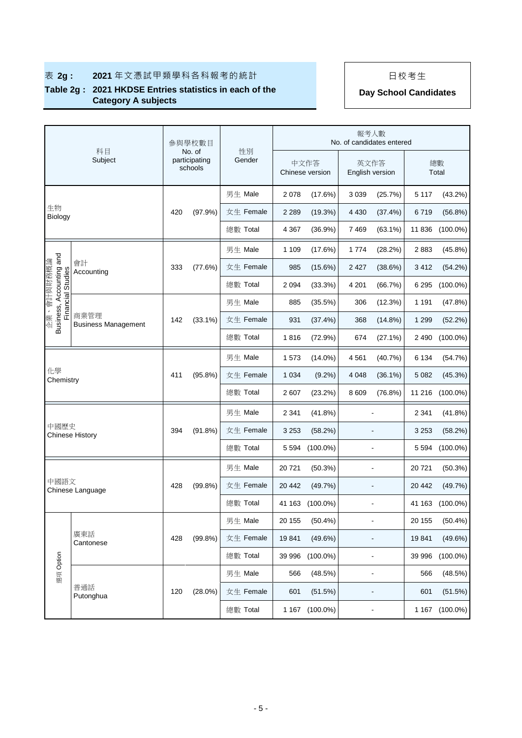|                                                          | 科目                                 |     | 參與學校數目                             | 性別        |         |                         | 報考人數                    | No. of candidates entered |         |             |
|----------------------------------------------------------|------------------------------------|-----|------------------------------------|-----------|---------|-------------------------|-------------------------|---------------------------|---------|-------------|
|                                                          | Subject                            |     | No. of<br>participating<br>schools | Gender    |         | 中文作答<br>Chinese version | 英文作答<br>English version |                           |         | 總數<br>Total |
|                                                          |                                    |     |                                    | 男生 Male   | 2078    | $(17.6\%)$              | 3 0 3 9                 | (25.7%)                   | 5 1 1 7 | (43.2%)     |
| 生物<br><b>Biology</b>                                     |                                    | 420 | (97.9%)                            | 女生 Female | 2 2 8 9 | (19.3%)                 | 4 4 3 0                 | (37.4%)                   | 6719    | (56.8%)     |
|                                                          |                                    |     |                                    | 總數 Total  | 4 3 6 7 | $(36.9\%)$              | 7 4 6 9                 | $(63.1\%)$                | 11836   | $(100.0\%)$ |
|                                                          |                                    |     |                                    | 男生 Male   | 1 1 0 9 | (17.6%)                 | 1774                    | (28.2%)                   | 2883    | (45.8%)     |
| Business, Accounting and<br>Financial Studies<br>、會計與務概論 | 會計<br>Accounting                   | 333 | (77.6%)                            | 女生 Female | 985     | $(15.6\%)$              | 2 4 2 7                 | (38.6%)                   | 3412    | (54.2%)     |
|                                                          |                                    |     |                                    | 總數 Total  | 2 0 9 4 | (33.3%)                 | 4 2 0 1                 | (66.7%)                   | 6 2 9 5 | $(100.0\%)$ |
|                                                          |                                    |     |                                    | 男生 Male   | 885     | (35.5%)                 | 306                     | (12.3%)                   | 1 1 9 1 | (47.8%)     |
| 企業                                                       | 商業管理<br><b>Business Management</b> | 142 | $(33.1\%)$                         | 女生 Female | 931     | (37.4%)                 | 368                     | $(14.8\%)$                | 1 2 9 9 | (52.2%)     |
|                                                          |                                    |     |                                    | 總數 Total  | 1816    | (72.9%)                 | 674                     | $(27.1\%)$                | 2 4 9 0 | $(100.0\%)$ |
|                                                          |                                    |     |                                    | 男生 Male   | 1573    | $(14.0\%)$              | 4561                    | (40.7%)                   | 6 1 3 4 | (54.7%)     |
| 化學<br>Chemistry                                          |                                    | 411 | $(95.8\%)$                         | 女生 Female | 1 0 3 4 | $(9.2\%)$               | 4 0 4 8                 | $(36.1\%)$                | 5 0 8 2 | (45.3%)     |
|                                                          |                                    |     |                                    | 總數 Total  | 2607    | (23.2%)                 | 8 6 0 9                 | (76.8%)                   | 11 216  | $(100.0\%)$ |
|                                                          |                                    |     |                                    | 男生 Male   | 2 3 4 1 | (41.8%)                 |                         |                           | 2 3 4 1 | (41.8%)     |
| 中國歷史                                                     | <b>Chinese History</b>             | 394 | (91.8%)                            | 女生 Female | 3 2 5 3 | (58.2%)                 |                         | $\blacksquare$            | 3 2 5 3 | (58.2%)     |
|                                                          |                                    |     |                                    | 總數 Total  | 5 594   | $(100.0\%)$             |                         |                           | 5 5 9 4 | $(100.0\%)$ |
|                                                          |                                    |     |                                    | 男生 Male   | 20721   | (50.3%)                 |                         | L,                        | 20721   | (50.3%)     |
| 中國語文                                                     | Chinese Language                   | 428 | (99.8% )                           | 女生 Female | 20 442  | (49.7%)                 |                         |                           | 20 442  | (49.7%)     |
|                                                          |                                    |     |                                    | 總數 Total  | 41 163  | $(100.0\%)$             |                         | ÷,                        | 41 163  | $(100.0\%)$ |
|                                                          |                                    |     |                                    | 男生 Male   | 20 155  | $(50.4\%)$              |                         |                           | 20 155  | $(50.4\%)$  |
|                                                          | 廣東話<br>Cantonese                   | 428 | $(99.8\%)$                         | 女生 Female | 19841   | (49.6%)                 |                         | $\blacksquare$            | 19841   | (49.6%)     |
|                                                          |                                    |     |                                    | 總數 Total  | 39 996  | $(100.0\%)$             |                         | $\overline{a}$            | 39 996  | $(100.0\%)$ |
| 選項 Option                                                |                                    |     |                                    | 男生 Male   | 566     | (48.5%)                 |                         | $\blacksquare$            | 566     | (48.5%)     |
|                                                          | 普通話<br>Putonghua                   | 120 | $(28.0\%)$                         | 女生 Female | 601     | (51.5%)                 |                         | ÷,                        | 601     | (51.5%)     |
|                                                          |                                    |     |                                    | 總數 Total  |         | 1 167 (100.0%)          |                         | $\blacksquare$            | 1 1 6 7 | $(100.0\%)$ |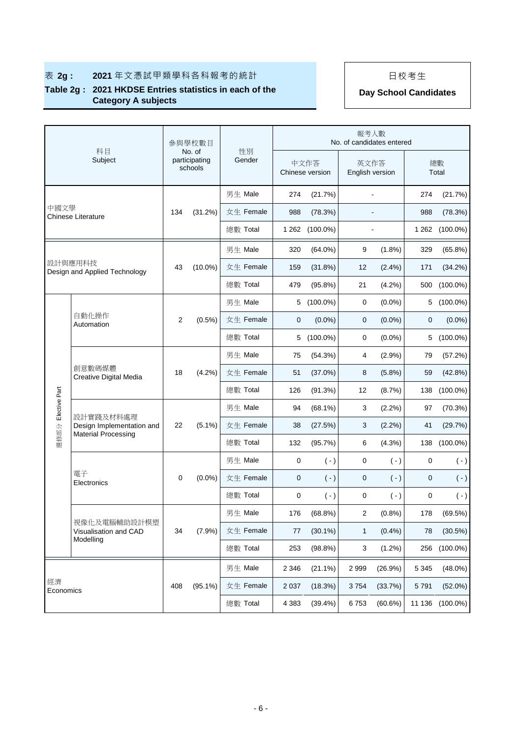|                 |                                          |                | 参與學校數目                             |              |         |                         | 報考人數                    | No. of candidates entered |             |             |
|-----------------|------------------------------------------|----------------|------------------------------------|--------------|---------|-------------------------|-------------------------|---------------------------|-------------|-------------|
|                 | 科目<br>Subject                            |                | No. of<br>participating<br>schools | 性別<br>Gender |         | 中文作答<br>Chinese version | 英文作答<br>English version |                           |             | 總數<br>Total |
|                 |                                          |                |                                    | 男生 Male      | 274     | (21.7%)                 |                         | ÷,                        | 274         | (21.7%)     |
| 中國文學            | <b>Chinese Literature</b>                | 134            | (31.2%)                            | 女生 Female    | 988     | (78.3%)                 |                         |                           | 988         | (78.3%)     |
|                 |                                          |                |                                    | 總數 Total     | 1 2 6 2 | $(100.0\%)$             |                         |                           | 1 2 6 2     | $(100.0\%)$ |
|                 |                                          |                |                                    | 男生 Male      | 320     | $(64.0\%)$              | 9                       | $(1.8\%)$                 | 329         | (65.8%)     |
|                 | 設計與應用科技<br>Design and Applied Technology | 43             | $(10.0\%)$                         | 女生 Female    | 159     | (31.8%)                 | 12                      | (2.4%)                    | 171         | (34.2%)     |
|                 |                                          |                |                                    | 總數 Total     | 479     | (95.8%)                 | 21                      | (4.2%)                    | 500         | $(100.0\%)$ |
|                 |                                          |                |                                    | 男生 Male      | 5       | $(100.0\%)$             | 0                       | $(0.0\%)$                 | 5           | $(100.0\%)$ |
|                 | 自動化操作<br>Automation                      | $\overline{2}$ | $(0.5\%)$                          | 女生 Female    | 0       | $(0.0\%)$               | 0                       | $(0.0\%)$                 | 0           | $(0.0\%)$   |
|                 |                                          |                |                                    | 總數 Total     | 5       | $(100.0\%)$             | 0                       | $(0.0\%)$                 | 5           | $(100.0\%)$ |
|                 | 創意數碼媒體<br>Creative Digital Media         |                | $(4.2\%)$                          | 男生 Male      | 75      | (54.3%)                 | 4                       | (2.9%)                    | 79          | (57.2%)     |
|                 |                                          | 18             |                                    | 女生 Female    | 51      | $(37.0\%)$              | 8                       | (5.8%)                    | 59          | $(42.8\%)$  |
|                 |                                          |                |                                    | 總數 Total     | 126     | (91.3%)                 | 12                      | (8.7%)                    | 138         | $(100.0\%)$ |
| Elective Part   |                                          |                |                                    | 男生 Male      | 94      | $(68.1\%)$              | 3                       | (2.2%)                    | 97          | (70.3%)     |
|                 | 設計實踐及材料處理<br>Design Implementation and   | 22             | $(5.1\%)$                          | 女生 Female    | 38      | (27.5%)                 | 3                       | (2.2%)                    | 41          | (29.7%)     |
| 選修部分            | <b>Material Processing</b>               |                |                                    | 總數 Total     | 132     | (95.7%)                 | 6                       | (4.3%)                    | 138         | $(100.0\%)$ |
|                 |                                          |                |                                    | 男生 Male      | 0       | $(\cdot)$               | 0                       | $(\cdot)$                 | 0           | $(\cdot)$   |
|                 | 電子<br>Electronics                        | 0              | $(0.0\%)$                          | 女生 Female    | 0       | $(-)$                   | 0                       | $(\cdot)$                 | $\mathbf 0$ | $(\cdot)$   |
|                 |                                          |                |                                    | 總數 Total     | 0       | $(-)$                   | $\pmb{0}$               | $(\cdot)$                 | 0           | $(-)$       |
|                 |                                          |                |                                    | 男生 Male      | 176     | (68.8%)                 | 2                       | (0.8%)                    | 178         | (69.5%)     |
|                 | 視像化及電腦輔助設計模塑<br>Visualisation and CAD    | 34             | (7.9%)                             | 女生 Female    | 77      | $(30.1\%)$              | 1                       | (0.4%                     | 78          | (30.5%)     |
|                 | Modelling                                |                |                                    | 總數 Total     | 253     | (98.8%)                 | 3                       | $(1.2\%)$                 | 256         | $(100.0\%)$ |
|                 |                                          |                |                                    | 男生 Male      | 2 3 4 6 | $(21.1\%)$              | 2 9 9 9                 | (26.9%)                   | 5 3 4 5     | $(48.0\%)$  |
| 經濟<br>Economics |                                          | 408            | $(95.1\%)$                         | 女生 Female    | 2 0 3 7 | (18.3%)                 | 3754                    | (33.7%)                   | 5 7 9 1     | $(52.0\%)$  |
|                 |                                          |                |                                    | 總數 Total     | 4 3 8 3 | $(39.4\%)$              | 6753                    | (60.6%)                   | 11 136      | $(100.0\%)$ |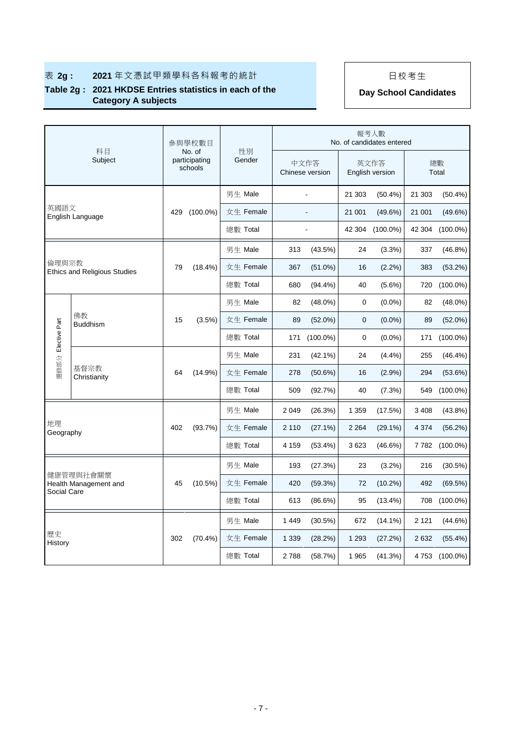|                                        | 科目                                  |           | 參與學校數目<br>No. of         |           | 性別        |            |                         |            | 報考人數<br>No. of candidates entered |             |                |
|----------------------------------------|-------------------------------------|-----------|--------------------------|-----------|-----------|------------|-------------------------|------------|-----------------------------------|-------------|----------------|
|                                        | Subject                             |           | participating<br>schools |           | Gender    |            | 中文作答<br>Chinese version |            | 英文作答<br>English version           | 總數<br>Total |                |
|                                        |                                     |           |                          |           | 男生 Male   |            |                         | 21 303     | $(50.4\%)$                        | 21 303      | $(50.4\%)$     |
| 英國語文                                   | English Language                    | 429       | $(100.0\%)$              |           | 女生 Female |            |                         | 21 001     | (49.6%)                           | 21 001      | (49.6%)        |
|                                        |                                     |           |                          |           | 總數 Total  |            |                         | 42 304     | $(100.0\%)$                       | 42 304      | $(100.0\%)$    |
|                                        |                                     |           |                          | 男生 Male   |           | 313        | $(43.5\%)$              | 24         | (3.3%)                            | 337         | (46.8%)        |
| 倫理與宗教                                  | <b>Ethics and Religious Studies</b> | 79        | $(18.4\%)$               |           | 女生 Female | 367        | $(51.0\%)$              | 16         | $(2.2\%)$                         | 383         | (53.2%)        |
|                                        |                                     |           |                          |           | 總數 Total  | 680        | $(94.4\%)$              | 40         | $(5.6\%)$                         | 720         | $(100.0\%)$    |
|                                        |                                     |           |                          |           | 男生 Male   | 82         | $(48.0\%)$              | 0          | $(0.0\%)$                         | 82          | $(48.0\%)$     |
| 佛教<br>Elective Part<br><b>Buddhism</b> | 15                                  | $(3.5\%)$ |                          | 女生 Female | 89        | $(52.0\%)$ | $\mathbf{0}$            | $(0.0\%)$  | 89                                | $(52.0\%)$  |                |
|                                        |                                     |           |                          |           | 總數 Total  | 171        | $(100.0\%)$             | 0          | $(0.0\%)$                         | 171         | $(100.0\%)$    |
|                                        |                                     | 64        | $(14.9\%)$               | 男生 Male   |           | 231        | $(42.1\%)$              | 24         | (4.4%)                            | 255         | $(46.4\%)$     |
| 選修部分                                   | 基督宗教<br>Christianity                |           |                          |           | 女生 Female | 278        | (50.6%)                 | 16         | (2.9%)                            | 294         | (53.6%)        |
|                                        |                                     |           |                          |           | 總數 Total  | 509        | (92.7%)                 | 40         | (7.3%)                            | 549         | $(100.0\%)$    |
|                                        |                                     |           |                          | 男生 Male   |           | 2 0 4 9    | (26.3%)                 | 1 3 5 9    | (17.5%)                           | 3 4 0 8     | $(43.8\%)$     |
| 地理<br>Geography                        |                                     | 402       | (93.7%)                  |           | 女生 Female | 2 1 1 0    | $(27.1\%)$              | 2 2 6 4    | $(29.1\%)$                        | 4 3 7 4     | (56.2%)        |
|                                        |                                     |           |                          |           | 總數 Total  | 4 1 5 9    | $(53.4\%)$              | 3623       | (46.6%)                           |             | 7 782 (100.0%) |
|                                        |                                     |           |                          | 男生 Male   |           | 193        | (27.3%)                 | 23         | $(3.2\%)$                         | 216         | (30.5%)        |
|                                        | 健康管理與社會關懷<br>Health Management and  | 45        | $(10.5\%)$               |           | 女生 Female | 420        | (59.3%)                 | 72         | $(10.2\%)$                        | 492         | (69.5%)        |
| Social Care                            |                                     |           |                          |           | 總數 Total  | 613        | (86.6%)                 | 95         | $(13.4\%)$                        | 708         | $(100.0\%)$    |
|                                        |                                     |           | 男生 Male                  |           | 1 4 4 9   | $(30.5\%)$ | 672                     | $(14.1\%)$ | 2 1 2 1                           | (44.6%)     |                |
| 歷史<br>History                          |                                     | 302       | $(70.4\%)$               |           | 女生 Female | 1 3 3 9    | (28.2%)                 | 1 2 9 3    | (27.2%)                           | 2632        | $(55.4\%)$     |
|                                        |                                     |           |                          |           | 總數 Total  | 2788       | (58.7%)                 | 1 9 6 5    | (41.3%)                           | 4753        | $(100.0\%)$    |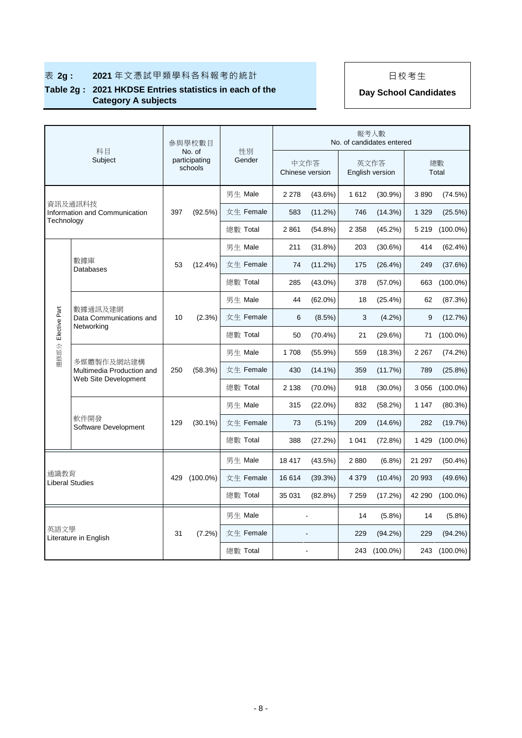|            |                                                                   |     | 参與學校數目                             |              |                         |            |         | 報考人數<br>No. of candidates entered |         |              |
|------------|-------------------------------------------------------------------|-----|------------------------------------|--------------|-------------------------|------------|---------|-----------------------------------|---------|--------------|
|            | 科目<br>Subject                                                     |     | No. of<br>participating<br>schools | 性別<br>Gender | 中文作答<br>Chinese version |            |         | 英文作答<br>English version           |         | 總數<br>Total  |
|            |                                                                   |     |                                    | 男生 Male      | 2 2 7 8                 | $(43.6\%)$ | 1612    | (30.9%)                           | 3890    | (74.5%)      |
| Technology | 資訊及通訊科技<br>Information and Communication                          | 397 | (92.5%)                            | 女生 Female    | 583                     | (11.2%)    | 746     | (14.3%)                           | 1 3 2 9 | (25.5%)      |
|            |                                                                   |     |                                    | 總數 Total     | 2861                    | $(54.8\%)$ | 2 3 5 8 | (45.2%)                           | 5 2 1 9 | $(100.0\%)$  |
|            |                                                                   |     |                                    | 男生 Male      | 211                     | $(31.8\%)$ | 203     | (30.6%)                           | 414     | $(62.4\%)$   |
|            | 數據庫<br>Databases                                                  | 53  | $(12.4\%)$                         | 女生 Female    | 74                      | (11.2%)    | 175     | (26.4%)                           | 249     | (37.6%)      |
|            |                                                                   |     |                                    | 總數 Total     | 285                     | $(43.0\%)$ | 378     | $(57.0\%)$                        | 663     | $(100.0\%)$  |
|            |                                                                   |     |                                    | 男生 Male      | 44                      | $(62.0\%)$ | 18      | (25.4%)                           | 62      | (87.3%)      |
|            | Elective Part<br>數據通訊及建網<br>Data Communications and<br>Networking | 10  | (2.3%)                             | 女生 Female    | 6                       | (8.5%)     | 3       | $(4.2\%)$                         | 9       | (12.7%)      |
| 選修部分       |                                                                   |     |                                    | 總數 Total     | 50                      | $(70.4\%)$ | 21      | (29.6%)                           | 71      | $(100.0\%)$  |
|            | 多媒體製作及網站建構<br>Multimedia Production and                           | 250 | (58.3%)                            | 男生 Male      | 1708                    | $(55.9\%)$ | 559     | (18.3%)                           | 2 2 6 7 | (74.2%)      |
|            |                                                                   |     |                                    | 女生 Female    | 430                     | $(14.1\%)$ | 359     | (11.7%)                           | 789     | $(25.8\%)$   |
|            | Web Site Development                                              |     |                                    | 總數 Total     | 2 1 3 8                 | $(70.0\%)$ | 918     | $(30.0\%)$                        | 3 0 5 6 | $(100.0\%)$  |
|            |                                                                   |     |                                    | 男生 Male      | 315                     | $(22.0\%)$ | 832     | (58.2%)                           | 1 1 4 7 | (80.3%)      |
|            | 軟件開發<br>Software Development                                      | 129 | $(30.1\%)$                         | 女生 Female    | 73                      | $(5.1\%)$  | 209     | (14.6%)                           | 282     | (19.7%)      |
|            |                                                                   |     |                                    | 總數 Total     | 388                     | (27.2%)    | 1 0 4 1 | (72.8%)                           | 1429    | $(100.0\%)$  |
|            |                                                                   |     |                                    | 男生 Male      | 18 417                  | $(43.5\%)$ | 2880    | (6.8%)                            | 21 297  | $(50.4\%)$   |
| 通識教育       | <b>Liberal Studies</b>                                            | 429 | $(100.0\%)$                        | 女生 Female    | 16614                   | (39.3%)    | 4 3 7 9 | $(10.4\%)$                        | 20 993  | $(49.6\%)$   |
|            |                                                                   |     |                                    | 總數 Total     | 35 031                  | (82.8%)    | 7 2 5 9 | (17.2%)                           | 42 290  | $(100.0\%)$  |
|            |                                                                   |     |                                    | 男生 Male      |                         |            | 14      | (5.8%)                            | 14      | $(5.8\%)$    |
| 英語文學       |                                                                   | 31  | $(7.2\%)$                          | 女生 Female    |                         |            | 229     | (94.2%)                           | 229     | (94.2%)      |
|            | Literature in English                                             |     |                                    | 總數 Total     |                         |            |         | 243 (100.0%)                      |         | 243 (100.0%) |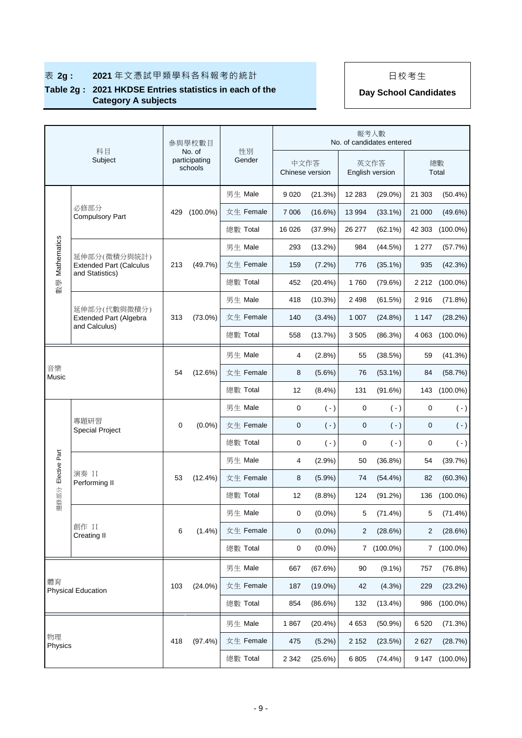|                    | 科目                                                                |     | 參與學校數目<br>No. of         |  | 性別        |                 |            |                | 報考人數<br>No. of candidates entered |                |             |
|--------------------|-------------------------------------------------------------------|-----|--------------------------|--|-----------|-----------------|------------|----------------|-----------------------------------|----------------|-------------|
|                    | Subject                                                           |     | participating<br>schools |  | Gender    | Chinese version | 中文作答       |                | 英文作答<br>English version           | 總數<br>Total    |             |
|                    |                                                                   |     |                          |  | 男生 Male   | 9 0 2 0         | (21.3%)    | 12 283         | $(29.0\%)$                        | 21 303         | $(50.4\%)$  |
|                    | 必修部分<br><b>Compulsory Part</b>                                    | 429 | $(100.0\%)$              |  | 女生 Female | 7 0 0 6         | (16.6%)    | 13 994         | $(33.1\%)$                        | 21 000         | (49.6%)     |
|                    |                                                                   |     |                          |  | 總數 Total  | 16 0 26         | (37.9%     | 26 277         | $(62.1\%)$                        | 42 303         | $(100.0\%)$ |
|                    |                                                                   |     |                          |  | 男生 Male   | 293             | $(13.2\%)$ | 984            | (44.5%)                           | 1 277          | (57.7%)     |
| 數學 Mathematics     | 延伸部分(微積分與統計)<br><b>Extended Part (Calculus</b><br>and Statistics) | 213 | (49.7%)                  |  | 女生 Female | 159             | (7.2%)     | 776            | $(35.1\%)$                        | 935            | (42.3%)     |
|                    |                                                                   |     |                          |  | 總數 Total  | 452             | (20.4%     | 1760           | (79.6%)                           | 2 2 1 2        | $(100.0\%)$ |
|                    |                                                                   |     |                          |  | 男生 Male   | 418             | (10.3%)    | 2 4 9 8        | (61.5%)                           | 2916           | (71.8%)     |
|                    | 延伸部分(代數與微積分)<br><b>Extended Part (Algebra</b><br>and Calculus)    |     | $(73.0\%)$               |  | 女生 Female | 140             | (3.4%)     | 1 0 0 7        | (24.8%)                           | 1 1 4 7        | (28.2%)     |
|                    |                                                                   |     |                          |  | 總數 Total  | 558             | (13.7%)    | 3505           | (86.3%)                           | 4 0 63         | $(100.0\%)$ |
|                    |                                                                   |     |                          |  | 男生 Male   | 4               | (2.8%)     | 55             | (38.5%)                           | 59             | (41.3%)     |
| 音樂<br>Music        |                                                                   | 54  | (12.6%)                  |  | 女生 Female | 8               | $(5.6\%)$  | 76             | $(53.1\%)$                        | 84             | (58.7%)     |
|                    |                                                                   |     |                          |  | 總數 Total  | 12              | (8.4%)     | 131            | (91.6%)                           | 143            | $(100.0\%)$ |
|                    |                                                                   |     |                          |  | 男生 Male   | 0               | $(\cdot)$  | 0              | $(\cdot)$                         | 0              | $(\cdot)$   |
|                    | 專題研習<br><b>Special Project</b>                                    | 0   | $(0.0\%)$                |  | 女生 Female | $\mathbf 0$     | $(-)$      | 0              | $(-)$                             | $\pmb{0}$      | $(\cdot)$   |
|                    |                                                                   |     |                          |  | 總數 Total  | 0               | $(-)$      | 0              | $(-)$                             | 0              | $(\cdot)$   |
| 選修部分 Elective Part |                                                                   |     |                          |  | 男生 Male   | 4               | (2.9%)     | 50             | (36.8%)                           | 54             | (39.7%)     |
|                    | 演奏 II<br>Performing II                                            | 53  | $(12.4\%)$               |  | 女生 Female | 8               | $(5.9\%)$  | 74             | $(54.4\%)$                        | 82             | (60.3%)     |
|                    |                                                                   |     |                          |  | 總數 Total  | 12              | (8.8%)     | 124            | (91.2%)                           | 136            | $(100.0\%)$ |
|                    |                                                                   |     |                          |  | 男生 Male   | 0               | $(0.0\%)$  | 5              | (71.4%)                           | 5              | $(71.4\%)$  |
|                    | 創作 II<br><b>Creating II</b>                                       | 6   | (1.4%)                   |  | 女生 Female | $\mathbf 0$     | $(0.0\%)$  | $\overline{2}$ | (28.6%)                           | $\overline{2}$ | (28.6%)     |
|                    |                                                                   |     |                          |  | 總數 Total  | 0               | $(0.0\%)$  |                | 7 (100.0%)                        |                | 7 (100.0%)  |
|                    |                                                                   |     |                          |  | 男生 Male   | 667             | (67.6%)    | 90             | $(9.1\%)$                         | 757            | (76.8%)     |
| 體育                 | <b>Physical Education</b>                                         | 103 | $(24.0\%)$               |  | 女生 Female | 187             | $(19.0\%)$ | 42             | (4.3%)                            | 229            | (23.2%)     |
|                    |                                                                   |     |                          |  | 總數 Total  | 854             | (86.6%)    | 132            | $(13.4\%)$                        | 986            | $(100.0\%)$ |
|                    |                                                                   |     |                          |  | 男生 Male   | 1867            | $(20.4\%)$ | 4 6 5 3        | (50.9%)                           | 6 5 20         | (71.3%)     |
| 物理<br>Physics      |                                                                   | 418 | (97.4%)                  |  | 女生 Female | 475             | $(5.2\%)$  | 2 1 5 2        | (23.5%)                           | 2627           | (28.7%)     |
|                    |                                                                   |     |                          |  | 總數 Total  | 2 3 4 2         | (25.6%)    | 6 8 0 5        | $(74.4\%)$                        | 9 1 4 7        | $(100.0\%)$ |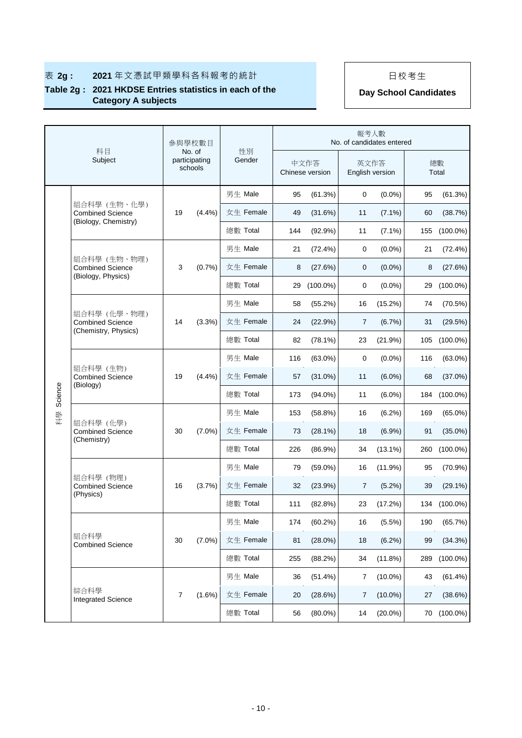|         | 科目                                                              |                | 参與學校數目                             |              |     |                         | 報考人數                    | No. of candidates entered |     |             |
|---------|-----------------------------------------------------------------|----------------|------------------------------------|--------------|-----|-------------------------|-------------------------|---------------------------|-----|-------------|
|         | Subject                                                         |                | No. of<br>participating<br>schools | 性別<br>Gender |     | 中文作答<br>Chinese version | 英文作答<br>English version |                           |     | 總數<br>Total |
|         |                                                                 |                |                                    | 男生 Male      | 95  | (61.3%)                 | 0                       | $(0.0\%)$                 | 95  | (61.3%)     |
|         | 組合科學 (生物、化學)<br><b>Combined Science</b><br>(Biology, Chemistry) | 19             | (4.4%)                             | 女生 Female    | 49  | (31.6%)                 | 11                      | $(7.1\%)$                 | 60  | (38.7%)     |
|         |                                                                 |                |                                    | 總數 Total     | 144 | $(92.9\%)$              | 11                      | $(7.1\%)$                 | 155 | $(100.0\%)$ |
|         |                                                                 |                |                                    | 男生 Male      | 21  | $(72.4\%)$              | 0                       | $(0.0\%)$                 | 21  | $(72.4\%)$  |
|         | 組合科學 (生物、物理)<br><b>Combined Science</b>                         | 3              | (0.7%                              | 女生 Female    | 8   | (27.6%)                 | 0                       | $(0.0\%)$                 | 8   | (27.6%)     |
|         | (Biology, Physics)                                              |                |                                    | 總數 Total     | 29  | $(100.0\%)$             | 0                       | $(0.0\%)$                 | 29  | $(100.0\%)$ |
|         |                                                                 |                |                                    | 男生 Male      | 58  | $(55.2\%)$              | 16                      | $(15.2\%)$                | 74  | (70.5%)     |
|         | 組合科學(化學、物理)<br><b>Combined Science</b><br>(Chemistry, Physics)  | 14             | (3.3%)                             | 女生 Female    | 24  | (22.9%)                 | $\overline{7}$          | (6.7%)                    | 31  | (29.5%)     |
|         |                                                                 |                |                                    | 總數 Total     | 82  | $(78.1\%)$              | 23                      | (21.9%)                   | 105 | $(100.0\%)$ |
|         | 組合科學 (生物)<br><b>Combined Science</b><br>(Biology)               | 19             | (4.4%)                             | 男生 Male      | 116 | $(63.0\%)$              | 0                       | $(0.0\%)$                 | 116 | $(63.0\%)$  |
|         |                                                                 |                |                                    | 女生 Female    | 57  | $(31.0\%)$              | 11                      | $(6.0\%)$                 | 68  | $(37.0\%)$  |
| Science |                                                                 |                |                                    | 總數 Total     | 173 | $(94.0\%)$              | 11                      | $(6.0\%)$                 | 184 | $(100.0\%)$ |
| 科學      |                                                                 |                | $(7.0\%)$                          | 男生 Male      | 153 | (58.8%)                 | 16                      | $(6.2\%)$                 | 169 | $(65.0\%)$  |
|         | 組合科學 (化學)<br><b>Combined Science</b>                            | 30             |                                    | 女生 Female    | 73  | $(28.1\%)$              | 18                      | $(6.9\%)$                 | 91  | $(35.0\%)$  |
|         | (Chemistry)                                                     |                |                                    | 總數 Total     | 226 | $(86.9\%)$              | 34                      | $(13.1\%)$                | 260 | $(100.0\%)$ |
|         |                                                                 |                |                                    | 男生 Male      | 79  | $(59.0\%)$              | 16                      | $(11.9\%)$                | 95  | (70.9%)     |
|         | 組合科學 (物理)<br><b>Combined Science</b>                            | 16             | (3.7%)                             | 女生 Female    | 32  | (23.9%)                 | 7                       | $(5.2\%)$                 | 39  | $(29.1\%)$  |
|         | (Physics)                                                       |                |                                    | 總數 Total     | 111 | (82.8%)                 | 23                      | (17.2%)                   | 134 | $(100.0\%)$ |
|         |                                                                 |                |                                    | 男生 Male      | 174 | (60.2%)                 | 16                      | (5.5%)                    | 190 | (65.7%)     |
|         | 組合科學<br><b>Combined Science</b>                                 | 30             | $(7.0\%)$                          | 女生 Female    | 81  | $(28.0\%)$              | 18                      | (6.2%)                    | 99  | (34.3%)     |
|         |                                                                 |                |                                    | 總數 Total     | 255 | (88.2%)                 | 34                      | (11.8%)                   | 289 | $(100.0\%)$ |
|         |                                                                 | $\overline{7}$ |                                    | 男生 Male      | 36  | (51.4%)                 | 7                       | $(10.0\%)$                | 43  | (61.4%)     |
|         | 綜合科學<br><b>Integrated Science</b>                               |                | $(1.6\%)$                          | 女生 Female    | 20  | (28.6%)                 | 7                       | $(10.0\%)$                | 27  | (38.6%)     |
|         |                                                                 |                |                                    | 總數 Total     | 56  | $(80.0\%)$              | 14                      | $(20.0\%)$                |     | 70 (100.0%) |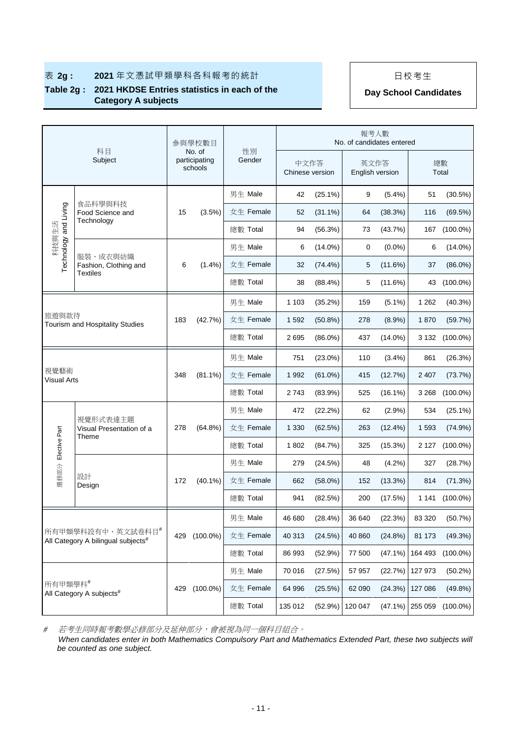## **Table 2g : 2021 HKDSE Entries statistics in each of the**  2021 HKDSE Entries statistics in each of the **Day School Candidates**<br>Category A subjects

|                                                         |                                               |     | 參與學校數目                             |              |                         |            | 報考人數<br>No. of candidates entered |            |         |                |
|---------------------------------------------------------|-----------------------------------------------|-----|------------------------------------|--------------|-------------------------|------------|-----------------------------------|------------|---------|----------------|
|                                                         | 科目<br>Subject                                 |     | No. of<br>participating<br>schools | 性別<br>Gender | 中文作答<br>Chinese version |            | 英文作答<br>English version           |            |         | 總數<br>Total    |
|                                                         |                                               |     |                                    | 男生 Male      | 42                      | $(25.1\%)$ | 9                                 | (5.4%)     | 51      | (30.5%)        |
| Technology and Living                                   | 食品科學與科技<br>Food Science and<br>Technology     | 15  | $(3.5\%)$                          | 女生 Female    | 52                      | $(31.1\%)$ | 64                                | (38.3%)    | 116     | (69.5%)        |
| 科技與生活                                                   |                                               |     |                                    | 總數 Total     | 94                      | (56.3%)    | 73                                | (43.7%)    | 167     | $(100.0\%)$    |
|                                                         | 服裝、成衣與紡織                                      |     |                                    | 男生 Male      | 6                       | $(14.0\%)$ | 0                                 | $(0.0\%)$  | 6       | $(14.0\%)$     |
|                                                         | Fashion, Clothing and<br><b>Textiles</b>      | 6   | $(1.4\%)$                          | 女生 Female    | 32                      | $(74.4\%)$ | 5                                 | (11.6%)    | 37      | $(86.0\%)$     |
|                                                         |                                               |     |                                    | 總數 Total     | 38                      | (88.4%)    | 5                                 | $(11.6\%)$ | 43      | $(100.0\%)$    |
|                                                         |                                               |     |                                    | 男生 Male      | 1 1 0 3                 | (35.2%)    | 159                               | $(5.1\%)$  | 1 2 6 2 | $(40.3\%)$     |
| 旅游與款待<br>Tourism and Hospitality Studies                |                                               | 183 | (42.7%)                            | 女生 Female    | 1 5 9 2                 | $(50.8\%)$ | 278                               | $(8.9\%)$  | 1870    | (59.7%)        |
|                                                         |                                               |     |                                    | 總數 Total     | 2695                    | $(86.0\%)$ | 437                               | $(14.0\%)$ |         | 3 132 (100.0%) |
|                                                         |                                               |     |                                    | 男生 Male      | 751                     | $(23.0\%)$ | 110                               | $(3.4\%)$  | 861     | (26.3%)        |
| 視覺藝術                                                    |                                               | 348 | $(81.1\%)$                         | 女生 Female    | 1 9 9 2                 | $(61.0\%)$ | 415                               | (12.7%)    | 2 4 0 7 | (73.7%)        |
| <b>Visual Arts</b>                                      |                                               |     |                                    | 總數 Total     | 2743                    | (83.9%)    | 525                               | $(16.1\%)$ | 3 2 6 8 | $(100.0\%)$    |
|                                                         |                                               |     |                                    | 男生 Male      | 472                     | (22.2%)    | 62                                | (2.9%)     | 534     | $(25.1\%)$     |
|                                                         | 視覺形式表達主題<br>Visual Presentation of a<br>Theme | 278 | $(64.8\%)$                         | 女生 Female    | 1 3 3 0                 | (62.5%)    | 263                               | $(12.4\%)$ | 1 5 9 3 | (74.9%)        |
| 選修部分 Elective Part                                      |                                               |     |                                    | 總數 Total     | 1802                    | (84.7%)    | 325                               | $(15.3\%)$ | 2 1 2 7 | $(100.0\%)$    |
|                                                         |                                               |     |                                    | 男生 Male      | 279                     | (24.5%)    | 48                                | (4.2%)     | 327     | (28.7%)        |
|                                                         | 設計<br>Design                                  | 172 | $(40.1\%)$                         | 女生 Female    | 662                     | $(58.0\%)$ | 152                               | $(13.3\%)$ | 814     | (71.3%)        |
|                                                         |                                               |     |                                    | 總數 Total     | 941                     | (82.5%)    | 200                               | (17.5%)    | 1 1 4 1 | $(100.0\%)$    |
|                                                         |                                               |     |                                    | 男生 Male      | 46 680                  | (28.4%)    | 36 640                            | (22.3%)    | 83 320  | (50.7%)        |
| 所有甲類學科設有中、英文試卷科目#<br>All Category A bilingual subjects# |                                               | 429 | $(100.0\%)$                        | 女生 Female    | 40 313                  | (24.5%)    | 40 860                            | (24.8%)    | 81 173  | (49.3%)        |
|                                                         |                                               |     |                                    | 總數 Total     | 86 993                  | (52.9%)    | 77 500                            | (47.1%)    | 164 493 | $(100.0\%)$    |
|                                                         |                                               |     |                                    | 男生 Male      | 70 016                  | (27.5%)    | 57 957                            | (22.7%)    | 127 973 | (50.2%)        |
| 所有甲類學科#                                                 |                                               | 429 | $(100.0\%)$                        | 女生 Female    | 64 996                  | (25.5%)    | 62 090                            | (24.3%)    | 127 086 | (49.8%)        |
|                                                         | All Category A subjects <sup>#</sup>          |     |                                    | 總數 Total     | 135 012                 | (52.9%)    | 120 047                           | (47.1%)    | 255 059 | $(100.0\%)$    |

#若考生同時報考數學必修部分及延伸部分,會被視為同一個科目組合。

 *When candidates enter in both Mathematics Compulsory Part and Mathematics Extended Part, these two subjects will be counted as one subject.*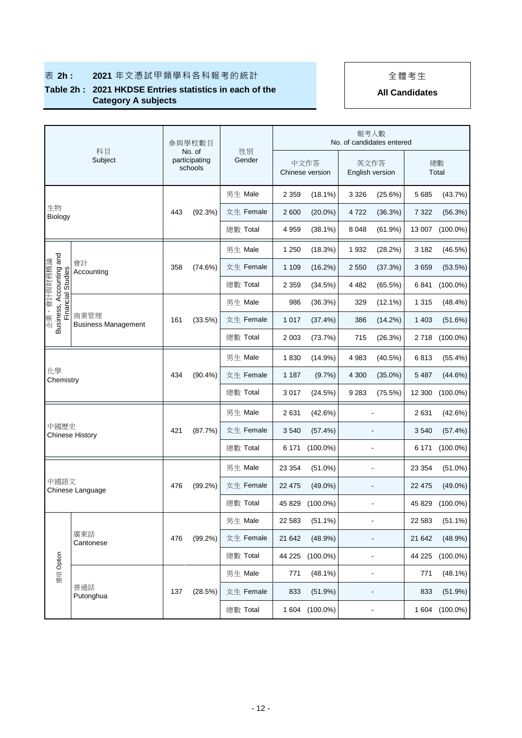## **表 2h : 2021** 年文憑試甲類學科各科報考的統計 → | | 全體考生

### **Table 2h : 2021 HKDSE Entries statistics in each of the Category A subjects**

|                 | 科目<br>Subject                                                                       |     | 參與學校數目                             | 性別        |                    |                         | 報考人數<br>No. of candidates entered |                |         |             |
|-----------------|-------------------------------------------------------------------------------------|-----|------------------------------------|-----------|--------------------|-------------------------|-----------------------------------|----------------|---------|-------------|
|                 |                                                                                     |     | No. of<br>participating<br>schools | Gender    |                    | 中文作答<br>Chinese version | 英文作答<br>English version           |                |         | 總數<br>Total |
|                 |                                                                                     |     |                                    | 男生 Male   | 2 3 5 9            | $(18.1\%)$              | 3 3 2 6                           | (25.6%)        | 5 6 8 5 | (43.7%)     |
| 生物<br>Biology   |                                                                                     | 443 | (92.3%)                            | 女生 Female | 2600               | $(20.0\%)$              | 4722                              | (36.3%)        | 7 3 2 2 | (56.3%)     |
|                 |                                                                                     |     |                                    | 總數 Total  | 4 9 5 9            | $(38.1\%)$              | 8 0 4 8                           | (61.9%)        | 13 007  | $(100.0\%)$ |
|                 |                                                                                     |     |                                    | 男生 Male   | 1 2 5 0            | (18.3%)                 | 1932                              | (28.2%)        | 3 1 8 2 | (46.5%)     |
| 、會計與財務概論        | 會計<br>Accounting                                                                    | 358 | (74.6%)                            | 女生 Female | 1 1 0 9            | (16.2%)                 | 2 5 5 0                           | (37.3%)        | 3659    | (53.5%)     |
|                 |                                                                                     |     |                                    | 總數 Total  | 2 3 5 9            | (34.5%)                 | 4 4 8 2                           | (65.5%)        | 6841    | $(100.0\%)$ |
|                 |                                                                                     |     |                                    | 男生 Male   | 986                | (36.3%)                 | 329                               | $(12.1\%)$     | 1 3 1 5 | (48.4%)     |
| 美砂              | Business, Accounting and<br>Financial Studies<br>商業管理<br><b>Business Management</b> |     | (33.5%)                            | 女生 Female | 1017               | (37.4%)                 | 386                               | (14.2%)        | 1 403   | (51.6%)     |
|                 |                                                                                     |     |                                    | 總數 Total  | 2 0 0 3            | (73.7%)                 | 715                               | (26.3%)        | 2718    | $(100.0\%)$ |
|                 |                                                                                     |     |                                    | 男生 Male   | 1830               | $(14.9\%)$              | 4 9 8 3                           | $(40.5\%)$     | 6813    | (55.4%)     |
| 化學<br>Chemistry |                                                                                     | 434 | $(90.4\%)$                         | 女生 Female | 1 1 8 7            | $(9.7\%)$               | 4 300                             | $(35.0\%)$     | 5 4 8 7 | (44.6%)     |
|                 |                                                                                     |     |                                    | 總數 Total  | 3017               | (24.5%)                 | 9 2 8 3<br>(75.5%)                |                | 12 300  | $(100.0\%)$ |
|                 |                                                                                     |     |                                    | 男生 Male   | 2631<br>$(42.6\%)$ |                         |                                   | 2631           | (42.6%) |             |
| 中國歷史            | <b>Chinese History</b>                                                              | 421 | (87.7%)                            | 女生 Female | 3540               | (57.4%)                 |                                   | $\blacksquare$ | 3540    | (57.4%)     |
|                 |                                                                                     |     |                                    | 總數 Total  | 6 1 7 1            | $(100.0\%)$             |                                   |                | 6 171   | $(100.0\%)$ |
|                 |                                                                                     |     |                                    | 男生 Male   | 23 354             | $(51.0\%)$              |                                   |                | 23 354  | $(51.0\%)$  |
| 中國語文            | Chinese Language                                                                    | 476 | $(99.2\%)$                         | 女生 Female | 22 4 7 5           | $(49.0\%)$              |                                   |                | 22 475  | $(49.0\%)$  |
|                 |                                                                                     |     |                                    | 總數 Total  | 45 829             | $(100.0\%)$             |                                   |                | 45 829  | $(100.0\%)$ |
|                 |                                                                                     |     |                                    | 男生 Male   | 22 5 83            | $(51.1\%)$              |                                   | $\blacksquare$ | 22 583  | $(51.1\%)$  |
|                 | 廣東話<br>Cantonese                                                                    | 476 | $(99.2\%)$                         | 女生 Female | 21 642             | (48.9%)                 |                                   |                | 21 642  | (48.9%)     |
|                 |                                                                                     |     |                                    | 總數 Total  | 44 225             | $(100.0\%)$             |                                   | ÷              | 44 225  | $(100.0\%)$ |
| 選項 Option       |                                                                                     |     |                                    | 男生 Male   | 771                | $(48.1\%)$              |                                   | $\overline{a}$ | 771     | (48.1%)     |
|                 | 普通話<br>Putonghua                                                                    | 137 | (28.5%)                            | 女生 Female | 833                | (51.9%)                 |                                   | ÷,             | 833     | (51.9%)     |
|                 |                                                                                     |     |                                    | 總數 Total  | 1 604              | $(100.0\%)$             |                                   |                | 1 604   | $(100.0\%)$ |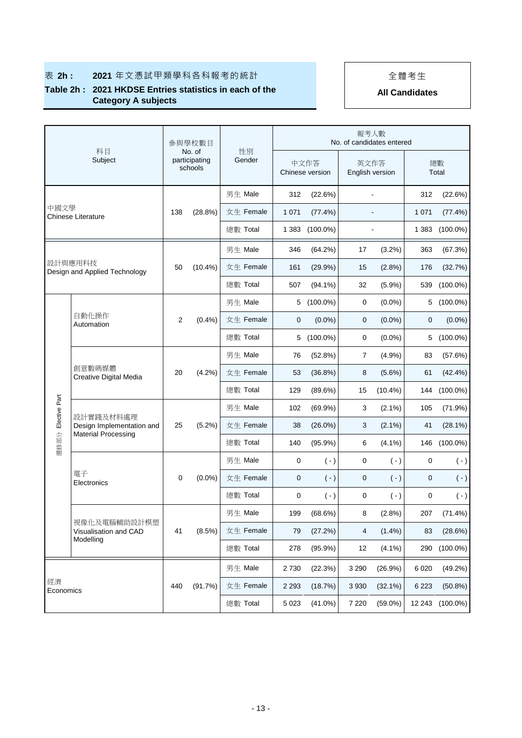## **表 2h : 2021** 年文憑試甲類學科各科報考的統計 → | | 全體考生

### **Table 2h : 2021 HKDSE Entries statistics in each of the Category A subjects**

|                    | 科目<br>Subject                            |     | 參與學校數目                             |              |             |                         |                         | 報考人數<br>No. of candidates entered |             |             |
|--------------------|------------------------------------------|-----|------------------------------------|--------------|-------------|-------------------------|-------------------------|-----------------------------------|-------------|-------------|
|                    |                                          |     | No. of<br>participating<br>schools | 性別<br>Gender |             | 中文作答<br>Chinese version | 英文作答<br>English version |                                   |             | 總數<br>Total |
|                    |                                          |     |                                    | 男生 Male      | 312         | (22.6%)                 |                         | $\blacksquare$                    | 312         | (22.6%)     |
| 中國文學               | <b>Chinese Literature</b>                | 138 | (28.8%)                            | 女生 Female    | 1 0 7 1     | (77.4%)                 |                         | L,                                | 1 0 7 1     | (77.4%)     |
|                    |                                          |     |                                    | 總數 Total     | 1 3 8 3     | $(100.0\%)$             |                         |                                   | 1 3 8 3     | $(100.0\%)$ |
|                    |                                          |     |                                    | 男生 Male      | 346         | $(64.2\%)$              | 17                      | $(3.2\%)$                         | 363         | (67.3%)     |
|                    | 設計與應用科技<br>Design and Applied Technology | 50  | $(10.4\%)$                         | 女生 Female    | 161         | (29.9%)                 | 15                      | (2.8%)                            | 176         | (32.7%)     |
|                    |                                          |     |                                    | 總數 Total     | 507         | $(94.1\%)$              | 32                      | (5.9%)                            | 539         | $(100.0\%)$ |
|                    |                                          |     |                                    | 男生 Male      | 5           | $(100.0\%)$             | $\mathbf 0$             | $(0.0\%)$                         | 5           | $(100.0\%)$ |
|                    | 自動化操作<br>Automation                      |     | $(0.4\%)$                          | 女生 Female    | 0           | $(0.0\%)$               | 0                       | $(0.0\%)$                         | 0           | $(0.0\%)$   |
|                    |                                          |     |                                    | 總數 Total     | 5           | $(100.0\%)$             | 0                       | $(0.0\%)$                         | 5           | $(100.0\%)$ |
|                    | 創意數碼媒體<br>Creative Digital Media         |     | (4.2%)                             | 男生 Male      | 76          | (52.8%)                 | $\overline{7}$          | (4.9%)                            | 83          | (57.6%)     |
|                    |                                          | 20  |                                    | 女生 Female    | 53          | (36.8%)                 | 8                       | $(5.6\%)$                         | 61          | (42.4%)     |
|                    |                                          |     |                                    | 總數 Total     | 129         | $(89.6\%)$              | 15                      | $(10.4\%)$                        | 144         | $(100.0\%)$ |
|                    |                                          |     |                                    | 男生 Male      | 102         | (69.9%)                 | 3                       | $(2.1\%)$                         | 105         | (71.9%)     |
| 選修部分 Elective Part | 設計實踐及材料處理<br>Design Implementation and   | 25  | $(5.2\%)$                          | 女生 Female    | 38          | $(26.0\%)$              | 3                       | $(2.1\%)$                         | 41          | (28.1%)     |
|                    | <b>Material Processing</b>               |     |                                    | 總數 Total     | 140         | (95.9%)                 | 6                       | $(4.1\%)$                         | 146         | $(100.0\%)$ |
|                    |                                          |     |                                    | 男生 Male      | $\mathbf 0$ | $(-)$                   | $\pmb{0}$               | $(-)$                             | $\mathbf 0$ | $(\cdot)$   |
|                    | 電子<br>Electronics                        | 0   | $(0.0\%)$                          | 女生 Female    | 0           | $(-)$                   | 0                       | $(-)$                             | 0           | $(\cdot)$   |
|                    |                                          |     |                                    | 總數 Total     | 0           | $(-)$                   | 0                       | $(-)$                             | 0           | $(\cdot)$   |
|                    |                                          |     |                                    | 男生 Male      | 199         | (68.6%)                 | 8                       | (2.8%)                            | 207         | $(71.4\%)$  |
|                    | 視像化及電腦輔助設計模塑<br>Visualisation and CAD    | 41  | (8.5%)                             | 女生 Female    | 79          | (27.2%)                 | 4                       | $(1.4\%)$                         | 83          | (28.6%)     |
| Modelling          |                                          |     |                                    | 總數 Total     | 278         | $(95.9\%)$              | 12                      | $(4.1\%)$                         | 290         | $(100.0\%)$ |
|                    |                                          |     |                                    | 男生 Male      | 2730        | (22.3%)                 | 3 2 9 0                 | (26.9%)                           | 6 0 20      | (49.2%)     |
| 經濟                 |                                          | 440 | (91.7%)                            | 女生 Female    | 2 2 9 3     | (18.7%)                 | 3 9 3 0                 | $(32.1\%)$                        | 6 2 2 3     | (50.8%)     |
|                    | Economics                                |     |                                    | 總數 Total     | 5 0 23      | $(41.0\%)$              | 7 2 2 0                 | $(59.0\%)$                        | 12 243      | $(100.0\%)$ |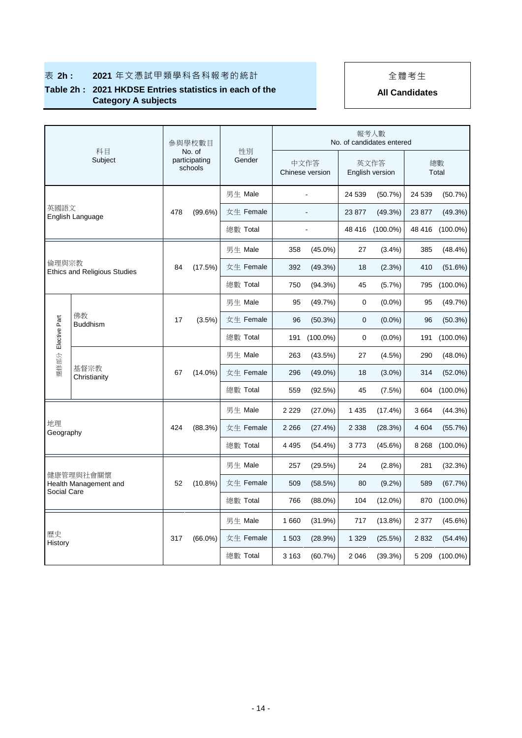## 表 2h : 2021 年文憑試甲類學科各科報考的統計 | | 全體考生

### **Table 2h : 2021 HKDSE Entries statistics in each of the Category A subjects**

|                 | 科目                                  |     | 參與學校數目                             |          |              |         |                         |                         | 報考人數<br>No. of candidates entered |             |             |
|-----------------|-------------------------------------|-----|------------------------------------|----------|--------------|---------|-------------------------|-------------------------|-----------------------------------|-------------|-------------|
|                 | Subject                             |     | No. of<br>participating<br>schools |          | 性別<br>Gender |         | 中文作答<br>Chinese version | 英文作答<br>English version |                                   | 總數<br>Total |             |
|                 |                                     |     |                                    | 男生 Male  |              |         |                         | 24 539                  | (50.7%)                           | 24 539      | (50.7%)     |
| 英國語文            | English Language                    | 478 | $(99.6\%)$                         |          | 女生 Female    |         |                         | 23 877                  | (49.3%)                           | 23 877      | (49.3%)     |
|                 |                                     |     |                                    |          | 總數 Total     |         |                         |                         | 48 416 (100.0%)                   | 48 416      | $(100.0\%)$ |
|                 |                                     |     |                                    |          | 男生 Male      | 358     | $(45.0\%)$              | 27                      | $(3.4\%)$                         | 385         | $(48.4\%)$  |
| 倫理與宗教           | <b>Ethics and Religious Studies</b> | 84  | (17.5%)                            |          | 女生 Female    | 392     | (49.3%)                 | 18                      | (2.3%)                            | 410         | (51.6%)     |
|                 |                                     |     |                                    |          | 總數 Total     | 750     | $(94.3\%)$              | 45                      | $(5.7\%)$                         | 795         | $(100.0\%)$ |
|                 |                                     |     |                                    |          | 男生 Male      | 95      | (49.7%)                 | 0                       | $(0.0\%)$                         | 95          | (49.7%)     |
|                 | 佛教<br><b>Buddhism</b>               |     | $(3.5\%)$                          |          | 女生 Female    | 96      | $(50.3\%)$              | 0                       | $(0.0\%)$                         | 96          | $(50.3\%)$  |
| Elective Part   |                                     |     |                                    |          | 總數 Total     | 191     | $(100.0\%)$             | 0                       | $(0.0\%)$                         | 191         | $(100.0\%)$ |
| 選修部分            |                                     |     |                                    | 男生 Male  |              | 263     | $(43.5\%)$              | 27                      | (4.5%)                            | 290         | $(48.0\%)$  |
|                 | 基督宗教<br>Christianity                | 67  | $(14.0\%)$                         |          | 女生 Female    | 296     | $(49.0\%)$              | 18                      | $(3.0\%)$                         | 314         | $(52.0\%)$  |
|                 |                                     |     |                                    |          | 總數 Total     | 559     | (92.5%)                 | 45                      | (7.5%)                            | 604         | $(100.0\%)$ |
|                 |                                     |     |                                    |          | 男生 Male      | 2 2 2 9 | $(27.0\%)$              | 1 4 3 5                 | $(17.4\%)$                        | 3664        | (44.3%)     |
| 地理<br>Geography |                                     | 424 | (88.3%)                            |          | 女生 Female    | 2 2 6 6 | (27.4%)                 | 2 3 3 8                 | (28.3%)                           | 4 604       | (55.7%)     |
|                 |                                     |     |                                    |          | 總數 Total     | 4 4 9 5 | $(54.4\%)$              | 3773                    | $(45.6\%)$                        | 8 2 6 8     | $(100.0\%)$ |
|                 |                                     |     |                                    | 男生 Male  |              | 257     | (29.5%)                 | 24                      | (2.8%)                            | 281         | (32.3%)     |
|                 | 健康管理與社會關懷<br>Health Management and  |     | $(10.8\%)$                         |          | 女生 Female    | 509     | (58.5%)                 | 80                      | $(9.2\%)$                         | 589         | (67.7%)     |
|                 | Social Care                         |     |                                    |          | 總數 Total     | 766     | $(88.0\%)$              | 104                     | $(12.0\%)$                        | 870         | $(100.0\%)$ |
|                 |                                     |     |                                    | 男生 Male  |              | 1660    | (31.9%)                 | 717                     | $(13.8\%)$                        | 2 3 7 7     | $(45.6\%)$  |
| 歷史<br>History   |                                     | 317 | $(66.0\%)$                         |          | 女生 Female    | 1503    | (28.9%)                 | 1 3 2 9                 | (25.5%)                           | 2832        | $(54.4\%)$  |
|                 |                                     |     |                                    | 總數 Total |              | 3 1 6 3 | $(60.7\%)$              | 2 0 4 6                 | (39.3%)                           | 5 2 0 9     | $(100.0\%)$ |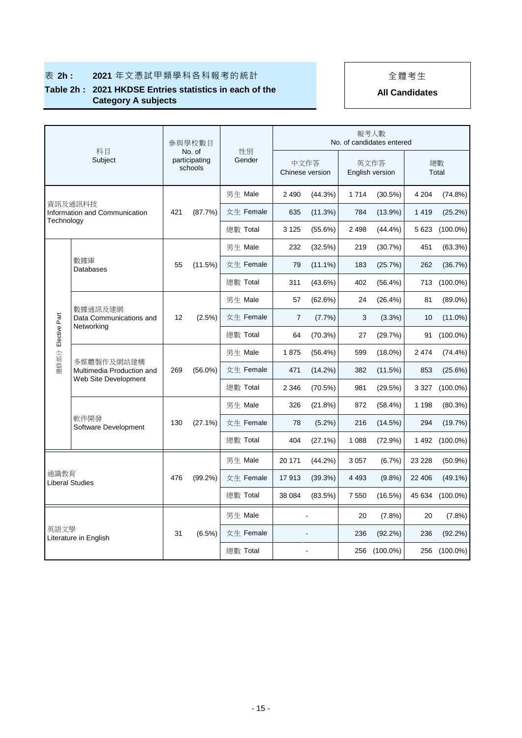## **表 2h : 2021** 年文憑試甲類學科各科報考的統計 → | | 全體考生

### **Table 2h : 2021 HKDSE Entries statistics in each of the Category A subjects**

|               | 科目                                       |     | 參與學校數目                             |              |                |                         |         | 報考人數<br>No. of candidates entered |             |             |
|---------------|------------------------------------------|-----|------------------------------------|--------------|----------------|-------------------------|---------|-----------------------------------|-------------|-------------|
|               | Subject                                  |     | No. of<br>participating<br>schools | 性別<br>Gender |                | 中文作答<br>Chinese version |         | 英文作答<br>English version           | 總數<br>Total |             |
|               |                                          |     |                                    | 男生 Male      | 2 4 9 0        | (44.3%)                 | 1 7 1 4 | (30.5%)                           | 4 204       | (74.8%)     |
|               | 資訊及通訊科技<br>Information and Communication | 421 | (87.7%)                            | 女生 Female    | 635            | (11.3%)                 | 784     | (13.9%)                           | 1419        | (25.2%)     |
| Technology    |                                          |     |                                    | 總數 Total     | 3 1 2 5        | $(55.6\%)$              | 2498    | (44.4%)                           | 5 6 23      | $(100.0\%)$ |
|               |                                          |     |                                    | 男生 Male      | 232            | (32.5%)                 | 219     | (30.7%)                           | 451         | (63.3%)     |
|               | 數據庫<br>Databases                         | 55  | (11.5%)                            | 女生 Female    | 79             | $(11.1\%)$              | 183     | (25.7%)                           | 262         | (36.7%)     |
|               |                                          |     |                                    | 總數 Total     | 311            | (43.6%)                 | 402     | (56.4%)                           | 713         | $(100.0\%)$ |
|               |                                          |     |                                    | 男生 Male      | 57             | (62.6%)                 | 24      | (26.4%)                           | 81          | $(89.0\%)$  |
|               | 數據通訊及建網<br>Data Communications and       |     | $(2.5\%)$                          | 女生 Female    | $\overline{7}$ | (7.7%)                  | 3       | (3.3%)                            | 10          | $(11.0\%)$  |
| Elective Part | Networking                               |     |                                    | 總數 Total     | 64             | (70.3%)                 | 27      | (29.7%)                           | 91          | $(100.0\%)$ |
|               |                                          |     | $(56.0\%)$                         | 男生 Male      | 1875           | (56.4%)                 | 599     | $(18.0\%)$                        | 2 4 7 4     | $(74.4\%)$  |
| 選修部分          | 多媒體製作及網站建構<br>Multimedia Production and  | 269 |                                    | 女生 Female    | 471            | $(14.2\%)$              | 382     | (11.5%)                           | 853         | (25.6%)     |
|               | Web Site Development                     |     |                                    | 總數 Total     | 2 3 4 6        | (70.5%)                 | 981     | (29.5%)                           | 3 3 2 7     | $(100.0\%)$ |
|               |                                          |     |                                    | 男生 Male      | 326            | (21.8%)                 | 872     | (58.4%)                           | 1 1 9 8     | (80.3%)     |
|               | 軟件開發<br>Software Development             | 130 | $(27.1\%)$                         | 女生 Female    | 78             | $(5.2\%)$               | 216     | (14.5%)                           | 294         | (19.7%)     |
|               |                                          |     |                                    | 總數 Total     | 404            | $(27.1\%)$              | 1 0 8 8 | (72.9%)                           | 1492        | $(100.0\%)$ |
|               |                                          |     |                                    | 男生 Male      | 20 171         | $(44.2\%)$              | 3 0 5 7 | (6.7%)                            | 23 228      | $(50.9\%)$  |
|               | 通識教育<br><b>Liberal Studies</b>           |     | $(99.2\%)$                         | 女生 Female    | 17913          | (39.3%)                 | 4 4 9 3 | (9.8%)                            | 22 406      | $(49.1\%)$  |
|               |                                          |     |                                    | 總數 Total     | 38 0 84        | (83.5%)                 | 7 5 5 0 | (16.5%)                           | 45 634      | $(100.0\%)$ |
|               |                                          |     |                                    | 男生 Male      |                |                         | 20      | $(7.8\%)$                         | 20          | $(7.8\%)$   |
|               | 英語文學<br>Literature in English            | 31  | $(6.5\%)$                          | 女生 Female    |                |                         | 236     | $(92.2\%)$                        | 236         | $(92.2\%)$  |
|               |                                          |     |                                    | 總數 Total     |                |                         |         | 256 (100.0%)                      | 256         | $(100.0\%)$ |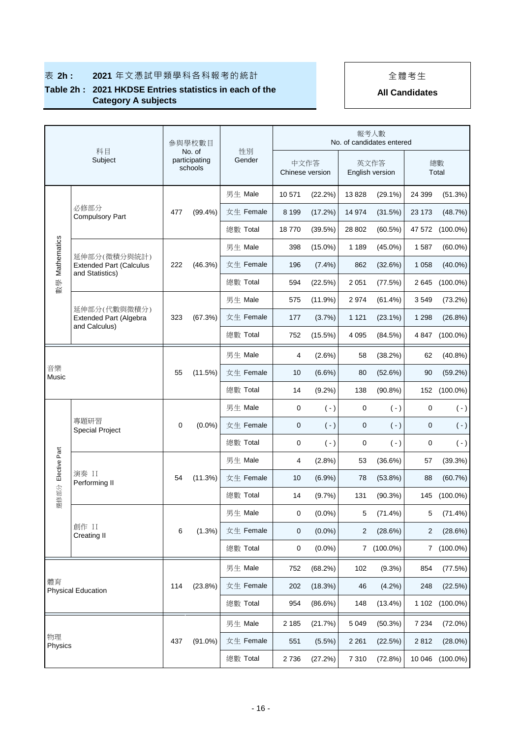## **表 2h : 2021** 年文憑試甲類學科各科報考的統計 → | | 全體考生

### **Table 2h : 2021 HKDSE Entries statistics in each of the Category A subjects**

|                    | 科目<br>Subject                                                     |     | 參與學校數目                             |              |         |                         |         | 報考人數<br>No. of candidates entered |             |             |
|--------------------|-------------------------------------------------------------------|-----|------------------------------------|--------------|---------|-------------------------|---------|-----------------------------------|-------------|-------------|
|                    |                                                                   |     | No. of<br>participating<br>schools | 性別<br>Gender |         | 中文作答<br>Chinese version |         | 英文作答<br>English version           |             | 總數<br>Total |
|                    |                                                                   |     |                                    | 男生 Male      | 10 571  | (22.2%)                 | 13828   | $(29.1\%)$                        | 24 399      | (51.3%)     |
|                    | 必修部分<br><b>Compulsory Part</b>                                    | 477 | $(99.4\%)$                         | 女生 Female    | 8 1 9 9 | (17.2%)                 | 14 974  | (31.5%)                           | 23 173      | (48.7%)     |
|                    |                                                                   |     |                                    | 總數 Total     | 18770   | (39.5%)                 | 28 802  | (60.5%)                           | 47 572      | $(100.0\%)$ |
| Mathematics        |                                                                   |     |                                    | 男生 Male      | 398     | $(15.0\%)$              | 1 1 8 9 | $(45.0\%)$                        | 1587        | $(60.0\%)$  |
|                    | 延伸部分(微積分與統計)<br><b>Extended Part (Calculus</b><br>and Statistics) | 222 | (46.3%)                            | 女生 Female    | 196     | $(7.4\%)$               | 862     | (32.6%)                           | 1 0 5 8     | $(40.0\%)$  |
| 數學                 |                                                                   |     |                                    | 總數 Total     | 594     | (22.5%)                 | 2 0 5 1 | (77.5%)                           | 2645        | $(100.0\%)$ |
|                    | 延伸部分(代數與微積分)                                                      |     |                                    | 男生 Male      | 575     | (11.9%)                 | 2974    | $(61.4\%)$                        | 3549        | $(73.2\%)$  |
|                    | Extended Part (Algebra<br>and Calculus)                           | 323 | (67.3%)                            | 女生 Female    | 177     | (3.7%)                  | 1 1 2 1 | $(23.1\%)$                        | 1 2 9 8     | (26.8%)     |
|                    |                                                                   |     |                                    | 總數 Total     | 752     | (15.5%)                 | 4 0 9 5 | (84.5%)                           | 4 8 4 7     | $(100.0\%)$ |
|                    |                                                                   |     |                                    | 男生 Male      | 4       | (2.6%)                  | 58      | (38.2%)                           | 62          | (40.8%)     |
| 音樂<br>Music        |                                                                   |     | (11.5%)                            | 女生 Female    | 10      | $(6.6\%)$               | 80      | (52.6%)                           | 90          | (59.2%)     |
|                    |                                                                   |     |                                    | 總數 Total     | 14      | $(9.2\%)$               | 138     | $(90.8\%)$                        | 152         | $(100.0\%)$ |
|                    |                                                                   |     |                                    | 男生 Male      | 0       | $(-)$                   | 0       | $(-)$                             | $\mathbf 0$ | $(\cdot)$   |
|                    | 專題研習<br><b>Special Project</b>                                    | 0   | $(0.0\%)$                          | 女生 Female    | 0       | $(-)$                   | 0       | $(-)$                             | 0           | $(\cdot)$   |
|                    |                                                                   |     |                                    | 總數 Total     | 0       | $(-)$                   | 0       | $(-)$                             | 0           | $(\cdot)$   |
| 選修部分 Elective Part |                                                                   |     |                                    | 男生 Male      | 4       | (2.8%)                  | 53      | $(36.6\%)$                        | 57          | (39.3%)     |
|                    | 演奏 II<br>Performing II                                            | 54  | (11.3%)                            | 女生 Female    | 10      | (6.9%)                  | 78      | (53.8%)                           | 88          | (60.7%)     |
|                    |                                                                   |     |                                    | 總數 Total     | 14      | (9.7%)                  | 131     | (90.3%)                           | 145         | $(100.0\%)$ |
|                    |                                                                   |     |                                    | 男生 Male      | 0       | $(0.0\%)$               | 5       | $(71.4\%)$                        | 5           | $(71.4\%)$  |
|                    | 創作 II<br>Creating II                                              | 6   | (1.3%)                             | 女生 Female    | 0       | $(0.0\%)$               | 2       | (28.6%)                           | 2           | (28.6%)     |
|                    |                                                                   |     |                                    | 總數 Total     | 0       | $(0.0\%)$               |         | 7 (100.0%)                        |             | 7 (100.0%)  |
|                    |                                                                   |     |                                    | 男生 Male      | 752     | (68.2%)                 | 102     | $(9.3\%)$                         | 854         | (77.5%)     |
| 體育                 | <b>Physical Education</b>                                         | 114 | (23.8%)                            | 女生 Female    | 202     | (18.3%)                 | 46      | (4.2%)                            | 248         | (22.5%)     |
|                    |                                                                   |     |                                    | 總數 Total     | 954     | (86.6%)                 | 148     | $(13.4\%)$                        | 1 1 0 2     | $(100.0\%)$ |
|                    |                                                                   |     |                                    | 男生 Male      | 2 1 8 5 | (21.7%)                 | 5 0 4 9 | (50.3%)                           | 7 2 3 4     | (72.0%)     |
| 物理<br>Physics      |                                                                   | 437 | $(91.0\%)$                         | 女生 Female    | 551     | (5.5%)                  | 2 2 6 1 | (22.5%)                           | 2812        | $(28.0\%)$  |
|                    |                                                                   |     |                                    | 總數 Total     | 2736    | (27.2%)                 | 7 3 1 0 | (72.8%)                           | 10 046      | $(100.0\%)$ |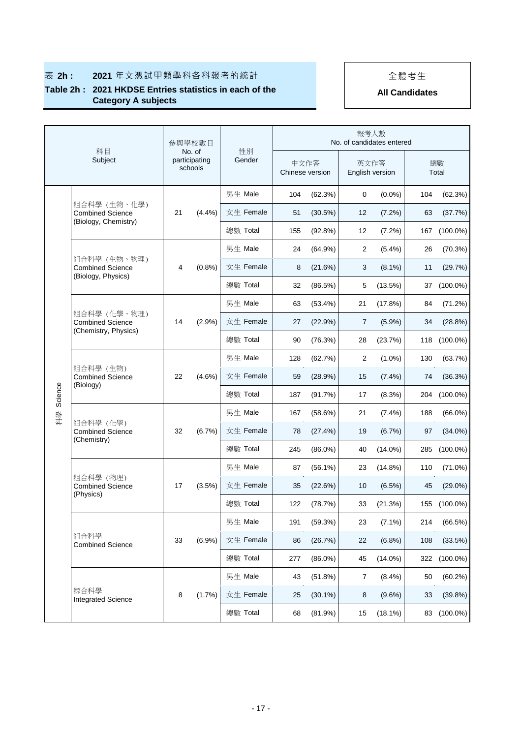## 表 2h : 2021 年文憑試甲類學科各科報考的統計 | | 全體考生

### **Table 2h : 2021 HKDSE Entries statistics in each of the Category A subjects**

|         | 科目<br>Subject                                                   |    | 參與學校數目                             |          |              |                         |            | 報考人數<br>No. of candidates entered |                         |     |             |
|---------|-----------------------------------------------------------------|----|------------------------------------|----------|--------------|-------------------------|------------|-----------------------------------|-------------------------|-----|-------------|
|         |                                                                 |    | No. of<br>participating<br>schools |          | 性別<br>Gender | 中文作答<br>Chinese version |            |                                   | 英文作答<br>English version |     | 總數<br>Total |
|         |                                                                 |    |                                    | 男生 Male  |              | 104                     | (62.3%)    | 0                                 | $(0.0\%)$               | 104 | (62.3%)     |
|         | 組合科學 (生物、化學)<br><b>Combined Science</b><br>(Biology, Chemistry) | 21 | (4.4%)                             |          | 女生 Female    | 51                      | (30.5%)    | 12                                | (7.2%)                  | 63  | (37.7%)     |
|         |                                                                 |    |                                    | 總數 Total |              | 155                     | $(92.8\%)$ | 12                                | $(7.2\%)$               | 167 | $(100.0\%)$ |
|         |                                                                 |    |                                    | 男生 Male  |              | 24                      | $(64.9\%)$ | 2                                 | (5.4%)                  | 26  | (70.3%)     |
|         | 組合科學 (生物、物理)<br><b>Combined Science</b><br>(Biology, Physics)   | 4  | (0.8%                              |          | 女生 Female    | 8                       | (21.6%)    | 3                                 | $(8.1\%)$               | 11  | (29.7%)     |
|         |                                                                 |    |                                    | 總數 Total |              | 32                      | (86.5%)    | 5                                 | $(13.5\%)$              | 37  | $(100.0\%)$ |
|         |                                                                 |    |                                    | 男生 Male  |              | 63                      | $(53.4\%)$ | 21                                | (17.8%)                 | 84  | (71.2%)     |
|         | 組合科學 (化學、物理)<br><b>Combined Science</b>                         | 14 | (2.9%)                             |          | 女生 Female    | 27                      | (22.9%)    | $\overline{7}$                    | $(5.9\%)$               | 34  | (28.8%)     |
| Science | (Chemistry, Physics)                                            |    |                                    | 總數 Total |              | 90                      | (76.3%)    | 28                                | (23.7%)                 | 118 | $(100.0\%)$ |
|         | 組合科學 (生物)<br><b>Combined Science</b><br>(Biology)               |    |                                    | 男生 Male  |              | 128                     | (62.7%)    | $\overline{2}$                    | $(1.0\%)$               | 130 | (63.7%)     |
|         |                                                                 | 22 | $(4.6\%)$                          |          | 女生 Female    | 59                      | (28.9%)    | 15                                | $(7.4\%)$               | 74  | (36.3%)     |
|         |                                                                 |    |                                    | 總數 Total |              | 187                     | (91.7%)    | 17                                | $(8.3\%)$               | 204 | $(100.0\%)$ |
| 科學      |                                                                 |    | (6.7%)                             | 男生 Male  |              | 167                     | (58.6%)    | 21                                | $(7.4\%)$               | 188 | $(66.0\%)$  |
|         | 組合科學 (化學)<br><b>Combined Science</b>                            | 32 |                                    |          | 女生 Female    | 78                      | (27.4%)    | 19                                | $(6.7\%)$               | 97  | $(34.0\%)$  |
|         | (Chemistry)                                                     |    |                                    | 總數 Total |              | 245                     | $(86.0\%)$ | 40                                | $(14.0\%)$              | 285 | $(100.0\%)$ |
|         |                                                                 |    |                                    | 男生 Male  |              | 87                      | $(56.1\%)$ | 23                                | $(14.8\%)$              | 110 | $(71.0\%)$  |
|         | 組合科學 (物理)<br><b>Combined Science</b>                            | 17 | (3.5%)                             |          | 女生 Female    | 35                      | (22.6%)    | 10                                | (6.5%)                  | 45  | $(29.0\%)$  |
|         | (Physics)                                                       |    |                                    | 總數 Total |              | 122                     | (78.7%)    | 33                                | (21.3%)                 | 155 | $(100.0\%)$ |
|         |                                                                 |    |                                    | 男生 Male  |              | 191                     | (59.3%)    | 23                                | $(7.1\%)$               | 214 | (66.5%)     |
|         | 組合科學<br><b>Combined Science</b>                                 | 33 | $(6.9\%)$                          |          | 女生 Female    | 86                      | (26.7%)    | 22                                | (6.8%)                  | 108 | (33.5%)     |
|         |                                                                 |    |                                    | 總數 Total |              | 277                     | $(86.0\%)$ | 45                                | $(14.0\%)$              | 322 | $(100.0\%)$ |
|         |                                                                 |    |                                    | 男生 Male  |              | 43                      | (51.8%)    | $\overline{7}$                    | $(8.4\%)$               | 50  | (60.2%)     |
|         | 綜合科學<br><b>Integrated Science</b>                               | 8  | (1.7%)                             |          | 女生 Female    | 25                      | $(30.1\%)$ | 8                                 | $(9.6\%)$               | 33  | (39.8%)     |
|         |                                                                 |    |                                    | 總數 Total |              | 68                      | (81.9%)    | 15                                | $(18.1\%)$              | 83  | $(100.0\%)$ |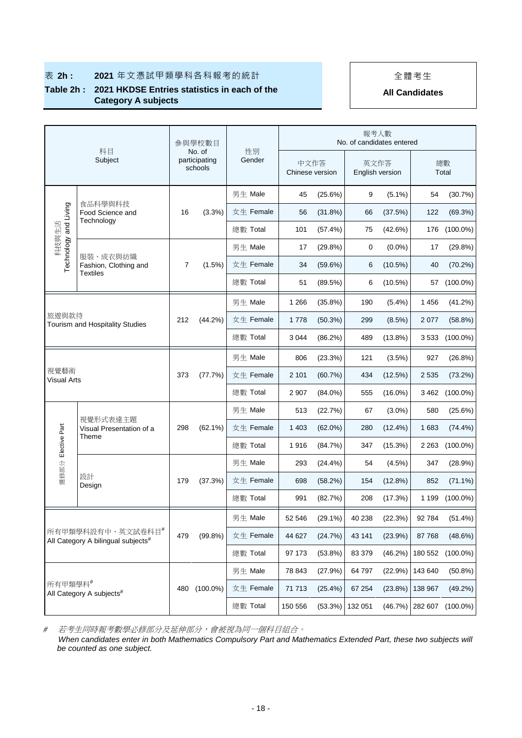## **表 2h : 2021** 年文憑試甲類學科各科報考的統計 → → → → → 全體考生

### **Table 2h : 2021 HKDSE Entries statistics in each of the Category A subjects**

**All Candidates**

|                       |                                                                     |     | 參與學校數目                             |              |         |                         | 報考人數<br>No. of candidates entered |                 |         |             |
|-----------------------|---------------------------------------------------------------------|-----|------------------------------------|--------------|---------|-------------------------|-----------------------------------|-----------------|---------|-------------|
|                       | 科目<br>Subject                                                       |     | No. of<br>participating<br>schools | 性別<br>Gender |         | 中文作答<br>Chinese version | 英文作答                              | English version |         | 總數<br>Total |
|                       |                                                                     |     |                                    | 男生 Male      | 45      | (25.6%)                 | 9                                 | $(5.1\%)$       | 54      | (30.7%)     |
|                       | 食品科學與科技<br>Food Science and                                         | 16  | $(3.3\%)$                          | 女生 Female    | 56      | (31.8%)                 | 66                                | (37.5%)         | 122     | (69.3%)     |
| Technology and Living | Technology                                                          |     |                                    | 總數 Total     | 101     | (57.4%)                 | 75                                | (42.6%)         | 176     | $(100.0\%)$ |
| 科技與生活                 |                                                                     |     |                                    | 男生 Male      | 17      | $(29.8\%)$              | 0                                 | $(0.0\%)$       | 17      | (29.8%)     |
|                       | 服裝、成衣與紡織<br>Fashion, Clothing and                                   | 7   | $(1.5\%)$                          | 女生 Female    | 34      | $(59.6\%)$              | 6                                 | $(10.5\%)$      | 40      | (70.2%)     |
|                       | Textiles                                                            |     |                                    | 總數 Total     | 51      | (89.5%)                 | 6                                 | (10.5%)         | 57      | $(100.0\%)$ |
|                       |                                                                     |     |                                    | 男生 Male      | 1 2 6 6 | (35.8%)                 | 190                               | (5.4%)          | 1 4 5 6 | (41.2%)     |
|                       | 旅遊與款待<br>Tourism and Hospitality Studies                            |     | $(44.2\%)$                         | 女生 Female    | 1778    | (50.3%)                 | 299                               | (8.5%)          | 2 0 7 7 | (58.8%)     |
|                       |                                                                     |     |                                    | 總數 Total     | 3 0 4 4 | (86.2%)                 | 489                               | (13.8%)         | 3 5 3 3 | $(100.0\%)$ |
|                       |                                                                     |     |                                    | 男生 Male      | 806     | (23.3%)                 | 121                               | $(3.5\%)$       | 927     | (26.8%)     |
| 視覺藝術<br>Visual Arts   |                                                                     | 373 | (77.7%)                            | 女生 Female    | 2 1 0 1 | (60.7%)                 | 434                               | (12.5%)         | 2 5 3 5 | $(73.2\%)$  |
|                       |                                                                     |     |                                    | 總數 Total     | 2 9 0 7 | $(84.0\%)$              | 555                               | $(16.0\%)$      | 3 4 6 2 | $(100.0\%)$ |
|                       |                                                                     |     |                                    | 男生 Male      | 513     | (22.7%)                 | 67                                | $(3.0\%)$       | 580     | (25.6%)     |
|                       | 視覺形式表達主題<br>Visual Presentation of a                                | 298 | $(62.1\%)$                         | 女生 Female    | 1 4 0 3 | $(62.0\%)$              | 280                               | $(12.4\%)$      | 1683    | $(74.4\%)$  |
| Elective Part         | Theme                                                               |     |                                    | 總數 Total     | 1916    | (84.7%)                 | 347                               | $(15.3\%)$      | 2 2 6 3 | $(100.0\%)$ |
|                       |                                                                     |     |                                    | 男生 Male      | 293     | $(24.4\%)$              | 54                                | $(4.5\%)$       | 347     | (28.9%)     |
| 選修部分                  | 設計<br>Design                                                        | 179 | (37.3%)                            | 女生 Female    | 698     | (58.2%)                 | 154                               | (12.8%)         | 852     | $(71.1\%)$  |
|                       |                                                                     |     |                                    | 總數 Total     | 991     | (82.7%)                 | 208                               | (17.3%)         | 1 1 9 9 | $(100.0\%)$ |
|                       |                                                                     |     |                                    | 男生 Male      | 52 546  | $(29.1\%)$              | 40 238                            | (22.3%)         | 92 784  | (51.4%)     |
|                       | 所有甲類學科設有中、英文試卷科目#<br>All Category A bilingual subjects <sup>#</sup> |     | (99.8% )                           | 女生 Female    | 44 627  | (24.7%)                 | 43 141                            | (23.9%)         | 87768   | (48.6%)     |
|                       |                                                                     |     |                                    | 總數 Total     | 97 173  | (53.8%)                 | 83 379                            | (46.2%)         | 180 552 | $(100.0\%)$ |
|                       |                                                                     |     |                                    | 男生 Male      | 78 843  | (27.9%)                 | 64 797                            | (22.9%)         | 143 640 | $(50.8\%)$  |
|                       | 所有甲類學科#                                                             |     | $(100.0\%)$                        | 女生 Female    | 71 713  | (25.4%)                 | 67 254                            | (23.8%)         | 138 967 | (49.2%)     |
|                       | All Category A subjects <sup>#</sup>                                |     | 480                                | 總數 Total     | 150 556 | (53.3%)                 | 132 051                           | (46.7%)         | 282 607 | $(100.0\%)$ |

#若考生同時報考數學必修部分及延伸部分,會被視為同一個科目組合。

 *When candidates enter in both Mathematics Compulsory Part and Mathematics Extended Part, these two subjects will be counted as one subject.*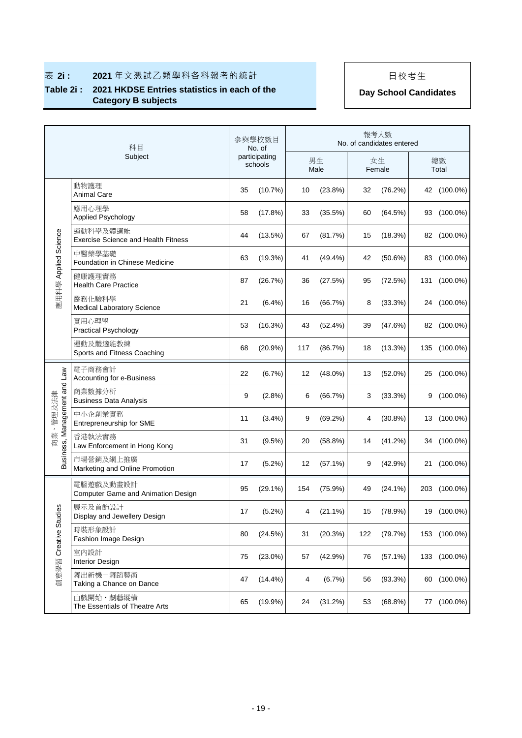### **Table 2i : 2021 HKDSE Entries statistics in each of the Category B subjects Day School Candidates**

|                                          | 科目<br>Subject                                          |    | 參與學校數目<br>No. of         |     |            |     | 報考人數<br>No. of candidates entered |     |              |
|------------------------------------------|--------------------------------------------------------|----|--------------------------|-----|------------|-----|-----------------------------------|-----|--------------|
|                                          |                                                        |    | participating<br>schools |     | 男生<br>Male |     | 女生<br>Female                      |     | 總數<br>Total  |
|                                          | 動物護理<br>Animal Care                                    | 35 | (10.7%)                  | 10  | (23.8%)    | 32  | (76.2%)                           |     | 42 (100.0%)  |
|                                          | 應用心理學<br><b>Applied Psychology</b>                     | 58 | (17.8%)                  | 33  | (35.5%)    | 60  | (64.5%)                           |     | 93 (100.0%)  |
|                                          | 運動科學及體適能<br><b>Exercise Science and Health Fitness</b> | 44 | (13.5%)                  | 67  | (81.7%)    | 15  | (18.3%)                           |     | 82 (100.0%)  |
| 應用科學 Applied Science                     | 中醫藥學基礎<br>Foundation in Chinese Medicine               | 63 | (19.3%)                  | 41  | (49.4%)    | 42  | (50.6%)                           | 83  | $(100.0\%)$  |
|                                          | 健康護理實務<br><b>Health Care Practice</b>                  | 87 | (26.7%)                  | 36  | (27.5%)    | 95  | (72.5%)                           | 131 | $(100.0\%)$  |
|                                          | 醫務化驗科學<br>Medical Laboratory Science                   | 21 | $(6.4\%)$                | 16  | (66.7%)    | 8   | (33.3%)                           |     | 24 (100.0%)  |
|                                          | 實用心理學<br><b>Practical Psychology</b>                   | 53 | (16.3%)                  | 43  | (52.4%)    | 39  | (47.6%)                           |     | 82 (100.0%)  |
|                                          | 運動及體適能教練<br>Sports and Fitness Coaching                | 68 | (20.9%                   | 117 | (86.7%)    | 18  | (13.3%)                           |     | 135 (100.0%) |
|                                          | 電子商務會計<br>Accounting for e-Business                    | 22 | (6.7%)                   | 12  | $(48.0\%)$ | 13  | $(52.0\%)$                        | 25  | $(100.0\%)$  |
|                                          | 商業數據分析<br><b>Business Data Analysis</b>                | 9  | (2.8%)                   | 6   | (66.7%)    | 3   | (33.3%)                           | 9   | $(100.0\%)$  |
| Business, Management and Law<br>商業、管理及法律 | 中小企創業實務<br>Entrepreneurship for SME                    | 11 | (3.4%)                   | 9   | (69.2%)    | 4   | $(30.8\%)$                        |     | 13 (100.0%)  |
|                                          | 香港執法實務<br>Law Enforcement in Hong Kong                 | 31 | $(9.5\%)$                | 20  | (58.8%)    | 14  | (41.2%)                           |     | 34 (100.0%)  |
|                                          | 市場營銷及網上推廣<br>Marketing and Online Promotion            | 17 | $(5.2\%)$                | 12  | $(57.1\%)$ | 9   | (42.9%)                           |     | 21 (100.0%)  |
|                                          | 電腦遊戲及動畫設計<br>Computer Game and Animation Design        | 95 | $(29.1\%)$               | 154 | (75.9%)    | 49  | $(24.1\%)$                        | 203 | $(100.0\%)$  |
| 89                                       | 展示及首飾設計<br>Display and Jewellery Design                | 17 | (5.2%)                   | 4   | (21.1%)    | 15  | (78.9%)                           |     | 19 (100.0%)  |
|                                          | 時裝形象設計<br>Fashion Image Design                         | 80 | (24.5%)                  | 31  | (20.3%)    | 122 | (79.7%)                           |     | 153 (100.0%) |
| 創意學習 Creative Stud                       | 室内設計<br><b>Interior Design</b>                         | 75 | $(23.0\%)$               | 57  | (42.9%)    | 76  | (57.1%)                           |     | 133 (100.0%) |
|                                          | 舞出新機-舞蹈藝術<br>Taking a Chance on Dance                  | 47 | $(14.4\%)$               | 4   | (6.7%)     | 56  | (93.3%)                           |     | 60 (100.0%)  |
|                                          | 由戲開始・劇藝縱橫<br>The Essentials of Theatre Arts            | 65 | (19.9%)                  | 24  | (31.2%)    | 53  | (68.8%)                           | 77  | $(100.0\%)$  |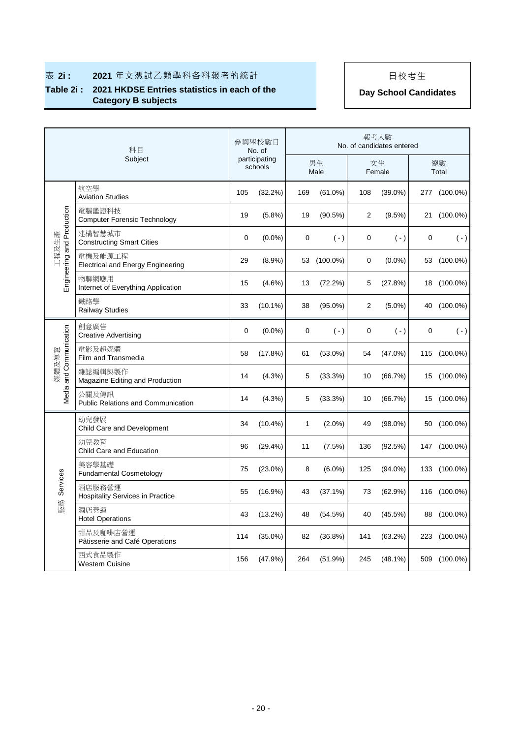# 表 2i : 2021 年文憑試乙類學科各科報考的統計 | | 日校考生

### **Table 2i : 2021 HKDSE Entries statistics in each of the Category B subjects Day School Candidates**

|                            | 科目                                                  |     | 參與學校數目<br>No. of         |              |             |     | 報考人數<br>No. of candidates entered |             |              |
|----------------------------|-----------------------------------------------------|-----|--------------------------|--------------|-------------|-----|-----------------------------------|-------------|--------------|
|                            | Subject                                             |     | participating<br>schools |              | 男生<br>Male  |     | 女生<br>Female                      |             | 總數<br>Total  |
|                            | 航空學<br><b>Aviation Studies</b>                      | 105 | (32.2%)                  | 169          | (61.0%)     | 108 | $(39.0\%)$                        |             | 277 (100.0%) |
|                            | 電腦鑑證科技<br><b>Computer Forensic Technology</b>       | 19  | (5.8%)                   | 19           | (90.5%)     | 2   | (9.5%)                            |             | 21 (100.0%)  |
| 工程及生產                      | 建構智慧城市<br><b>Constructing Smart Cities</b>          | 0   | $(0.0\%)$                | 0            | $( - )$     | 0   | $(\cdot)$                         | $\mathbf 0$ | $(-)$        |
| Engineering and Production | 電機及能源工程<br><b>Electrical and Energy Engineering</b> | 29  | $(8.9\%)$                |              | 53 (100.0%) | 0   | $(0.0\%)$                         |             | 53 (100.0%)  |
|                            | 物聯網應用<br>Internet of Everything Application         | 15  | $(4.6\%)$                | 13           | (72.2%)     | 5   | (27.8%)                           |             | 18 (100.0%)  |
|                            | 鐵路學<br><b>Railway Studies</b>                       | 33  | $(10.1\%)$               | 38           | $(95.0\%)$  | 2   | $(5.0\%)$                         |             | 40 (100.0%)  |
|                            | 創意廣告<br><b>Creative Advertising</b>                 | 0   | $(0.0\%)$                | 0            | $(-)$       | 0   | $(-)$                             | $\mathbf 0$ | $(\cdot)$    |
| Media and Communication    | 電影及超媒體<br>Film and Transmedia                       | 58  | (17.8%)                  | 61           | $(53.0\%)$  | 54  | $(47.0\%)$                        |             | 115 (100.0%) |
| 煤體及傳意                      | 雜誌編輯與製作<br>Magazine Editing and Production          | 14  | $(4.3\%)$                | 5            | (33.3%)     | 10  | (66.7%)                           |             | 15 (100.0%)  |
|                            | 公關及傳訊<br><b>Public Relations and Communication</b>  | 14  | $(4.3\%)$                | 5            | (33.3%)     | 10  | (66.7%)                           |             | 15 (100.0%)  |
|                            | 幼兒發展<br>Child Care and Development                  | 34  | $(10.4\%)$               | $\mathbf{1}$ | $(2.0\%)$   | 49  | $(98.0\%)$                        |             | 50 (100.0%)  |
|                            | 幼兒教育<br>Child Care and Education                    | 96  | (29.4%)                  | 11           | (7.5%)      | 136 | (92.5%)                           |             | 147 (100.0%) |
|                            | 美容學基礎<br><b>Fundamental Cosmetology</b>             | 75  | $(23.0\%)$               | 8            | $(6.0\%)$   | 125 | $(94.0\%)$                        |             | 133 (100.0%) |
| Services                   | 酒店服務營運<br><b>Hospitality Services in Practice</b>   | 55  | $(16.9\%)$               | 43           | $(37.1\%)$  | 73  | (62.9%)                           |             | 116 (100.0%) |
| 服務                         | 酒店營運<br><b>Hotel Operations</b>                     | 43  | $(13.2\%)$               | 48           | (54.5%)     | 40  | $(45.5\%)$                        |             | 88 (100.0%)  |
|                            | 甜品及咖啡店營運<br>Pâtisserie and Café Operations          | 114 | $(35.0\%)$               | 82           | $(36.8\%)$  | 141 | (63.2%)                           |             | 223 (100.0%) |
|                            | 西式食品製作<br><b>Western Cuisine</b>                    | 156 | (47.9%)                  | 264          | (51.9%)     | 245 | $(48.1\%)$                        |             | 509 (100.0%) |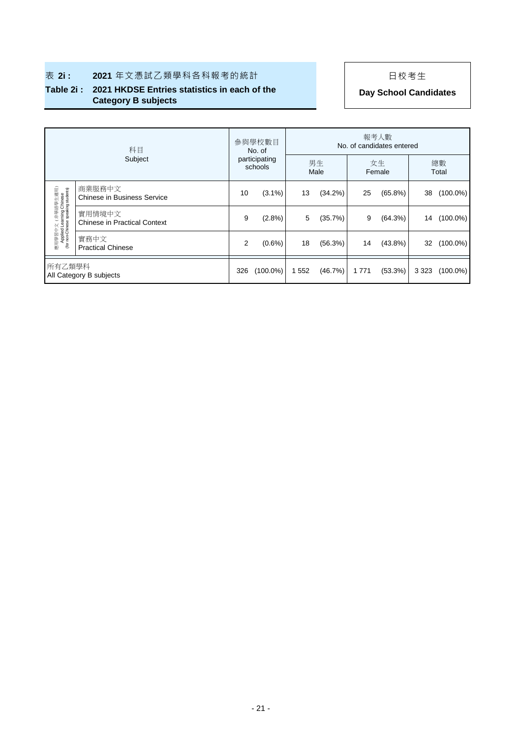### **Table 2i : 2021 HKDSE Entries statistics in each of the Category B subjects Day School Candidates**

|                                                                                    | 科目                                            |     | 參與學校數目<br>No. of         | 報考人數<br>No. of candidates entered |            |              |            |         |             |  |
|------------------------------------------------------------------------------------|-----------------------------------------------|-----|--------------------------|-----------------------------------|------------|--------------|------------|---------|-------------|--|
| Subject                                                                            |                                               |     | participating<br>schools |                                   | 男生<br>Male | 女生<br>Female |            |         | 總數<br>Total |  |
|                                                                                    | 商業服務中文<br><b>Chinese in Business Service</b>  | 10  | $(3.1\%)$                | 13                                | (34.2%)    | 25           | (65.8%)    | 38      | $(100.0\%)$ |  |
| 應用學習中文(非華語學生適用)<br>Applied Learning Chinese<br>(for non-Chinese speaking students) | 實用情境中文<br><b>Chinese in Practical Context</b> | 9   | (2.8%)                   | 5                                 | (35.7%)    | 9            | (64.3%)    | 14      | $(100.0\%)$ |  |
|                                                                                    | 實務中文<br><b>Practical Chinese</b>              | 2   | $(0.6\%)$                | 18                                | (56.3%)    | 14           | $(43.8\%)$ | 32      | $(100.0\%)$ |  |
| 所有乙類學科<br>All Category B subjects                                                  |                                               | 326 | $(100.0\%)$              | 552                               | (46.7%)    | 1771         | (53.3%)    | 3 3 2 3 | $(100.0\%)$ |  |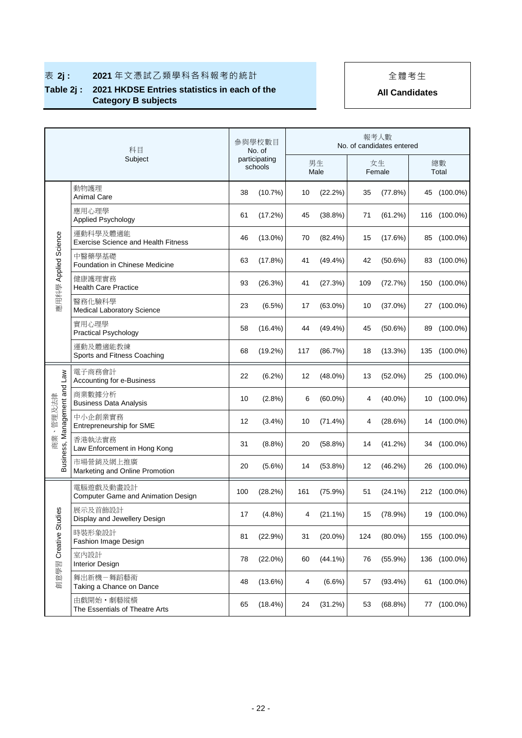## ■ 表 2j : 2021年文憑試乙類學科各科報考的統計 → | | 全體考生

## **Table 2j : 2021 HKDSE Entries statistics in each of the Category B subjects**

|                                          | 科目<br>Subject                                          |     | 參與學校數目<br>No. of         |     |            |     | 報考人數<br>No. of candidates entered |    |              |
|------------------------------------------|--------------------------------------------------------|-----|--------------------------|-----|------------|-----|-----------------------------------|----|--------------|
|                                          |                                                        |     | participating<br>schools |     | 男生<br>Male |     | 女生<br>Female                      |    | 總數<br>Total  |
|                                          | 動物護理<br><b>Animal Care</b>                             | 38  | (10.7%)                  | 10  | (22.2%)    | 35  | (77.8%)                           | 45 | $(100.0\%)$  |
|                                          | 應用心理學<br>Applied Psychology                            | 61  | (17.2%)                  | 45  | (38.8%)    | 71  | (61.2%)                           |    | 116 (100.0%) |
|                                          | 運動科學及體適能<br><b>Exercise Science and Health Fitness</b> | 46  | $(13.0\%)$               | 70  | $(82.4\%)$ | 15  | (17.6%)                           |    | 85 (100.0%)  |
| 應用科學 Applied Science                     | 中醫藥學基礎<br>Foundation in Chinese Medicine               | 63  | (17.8%)                  | 41  | $(49.4\%)$ | 42  | $(50.6\%)$                        |    | 83 (100.0%)  |
|                                          | 健康護理實務<br><b>Health Care Practice</b>                  | 93  | (26.3%)                  | 41  | (27.3%)    | 109 | (72.7%)                           |    | 150 (100.0%) |
|                                          | 醫務化驗科學<br>Medical Laboratory Science                   | 23  | (6.5%)                   | 17  | $(63.0\%)$ | 10  | $(37.0\%)$                        |    | 27 (100.0%)  |
|                                          | 實用心理學<br><b>Practical Psychology</b>                   | 58  | $(16.4\%)$               | 44  | $(49.4\%)$ | 45  | $(50.6\%)$                        | 89 | $(100.0\%)$  |
|                                          | 運動及體滴能教練<br>Sports and Fitness Coaching                | 68  | (19.2%)                  | 117 | (86.7%)    | 18  | (13.3%)                           |    | 135 (100.0%) |
|                                          | 電子商務會計<br>Accounting for e-Business                    | 22  | $(6.2\%)$                | 12  | $(48.0\%)$ | 13  | $(52.0\%)$                        |    | 25 (100.0%)  |
|                                          | 商業數據分析<br><b>Business Data Analysis</b>                | 10  | (2.8%)                   | 6   | $(60.0\%)$ | 4   | $(40.0\%)$                        |    | 10 (100.0%)  |
| Business, Management and Law<br>商業、管理及法律 | 中小企創業實務<br>Entrepreneurship for SME                    | 12  | (3.4%)                   | 10  | (71.4%)    | 4   | (28.6%)                           |    | 14 (100.0%)  |
|                                          | 香港執法實務<br>Law Enforcement in Hong Kong                 | 31  | (8.8%)                   | 20  | $(58.8\%)$ | 14  | (41.2%)                           |    | 34 (100.0%)  |
|                                          | 市場營銷及網上推廣<br>Marketing and Online Promotion            | 20  | $(5.6\%)$                | 14  | $(53.8\%)$ | 12  | $(46.2\%)$                        |    | 26 (100.0%)  |
|                                          | 電腦遊戲及動畫設計<br>Computer Game and Animation Design        | 100 | (28.2%)                  | 161 | $(75.9\%)$ | 51  | $(24.1\%)$                        |    | 212 (100.0%) |
|                                          | 展示及首飾設計<br>Display and Jewellery Design                | 17  | (4.8%)                   | 4   | $(21.1\%)$ | 15  | (78.9%)                           |    | 19 (100.0%)  |
| 創意學習 Creative Studies                    | 時裝形象設計<br>Fashion Image Design                         | 81  | (22.9%)                  | 31  | $(20.0\%)$ | 124 | $(80.0\%)$                        |    | 155 (100.0%) |
|                                          | 室内設計<br><b>Interior Design</b>                         | 78  | $(22.0\%)$               | 60  | $(44.1\%)$ | 76  | $(55.9\%)$                        |    | 136 (100.0%) |
|                                          | 舞出新機-舞蹈藝術<br>Taking a Chance on Dance                  | 48  | (13.6%)                  | 4   | $(6.6\%)$  | 57  | $(93.4\%)$                        |    | 61 (100.0%)  |
|                                          | 由戲開始・劇藝縱橫<br>The Essentials of Theatre Arts            | 65  | $(18.4\%)$               | 24  | (31.2%)    | 53  | (68.8%)                           |    | 77 (100.0%)  |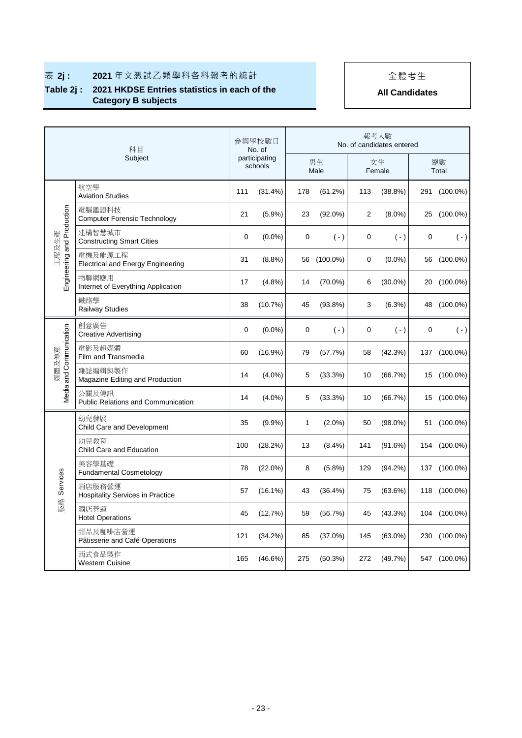## ■ 表 2j : 2021年文憑試乙類學科各科報考的統計 → | | 全體考生

## **Table 2j : 2021 HKDSE Entries statistics in each of the Category B subjects**

| 科目<br>Subject                       |                                                     | 參與學校數目<br>No. of<br>participating<br>schools |            | 報考人數<br>No. of candidates entered |             |                |            |             |              |  |
|-------------------------------------|-----------------------------------------------------|----------------------------------------------|------------|-----------------------------------|-------------|----------------|------------|-------------|--------------|--|
|                                     |                                                     |                                              |            | 男生<br>Male                        |             | 女生<br>Female   |            | 總數<br>Total |              |  |
| Engineering and Production<br>工程及生產 | 航空學<br><b>Aviation Studies</b>                      | 111                                          | (31.4%)    | 178                               | (61.2%)     | 113            | (38.8%)    |             | 291 (100.0%) |  |
|                                     | 電腦鑑證科技<br><b>Computer Forensic Technology</b>       | 21                                           | (5.9%)     | 23                                | $(92.0\%)$  | $\overline{2}$ | $(8.0\%)$  |             | 25 (100.0%)  |  |
|                                     | 建構智慧城市<br><b>Constructing Smart Cities</b>          | 0                                            | $(0.0\%)$  | 0                                 | $(-)$       | 0              | $(-)$      | $\mathbf 0$ | $(\cdot)$    |  |
|                                     | 電機及能源工程<br><b>Electrical and Energy Engineering</b> | 31                                           | (8.8%)     | 56                                | $(100.0\%)$ | 0              | $(0.0\%)$  |             | 56 (100.0%)  |  |
|                                     | 物聯網應用<br>Internet of Everything Application         | 17                                           | $(4.8\%)$  | 14                                | $(70.0\%)$  | 6              | $(30.0\%)$ |             | 20 (100.0%)  |  |
|                                     | 鐵路學<br><b>Railway Studies</b>                       | 38                                           | (10.7%)    | 45                                | (93.8%)     | 3              | (6.3%)     |             | 48 (100.0%)  |  |
| Media and Communication<br>媒體及傳意    | 創意廣告<br><b>Creative Advertising</b>                 | 0                                            | $(0.0\%)$  | 0                                 | $(\cdot)$   | 0              | $(\cdot)$  | 0           | $(\cdot)$    |  |
|                                     | 電影及超媒體<br>Film and Transmedia                       | 60                                           | $(16.9\%)$ | 79                                | (57.7%)     | 58             | (42.3%)    |             | 137 (100.0%) |  |
|                                     | 雜誌編輯與製作<br>Magazine Editing and Production          | 14                                           | $(4.0\%)$  | 5                                 | (33.3%)     | 10             | (66.7%)    |             | 15 (100.0%)  |  |
|                                     | 公關及傳訊<br><b>Public Relations and Communication</b>  | 14                                           | $(4.0\%)$  | 5                                 | (33.3%)     | 10             | (66.7%)    |             | 15 (100.0%)  |  |
| Services<br>服務                      | 幼兒發展<br>Child Care and Development                  | 35                                           | $(9.9\%)$  | 1                                 | $(2.0\%)$   | 50             | $(98.0\%)$ |             | 51 (100.0%)  |  |
|                                     | 幼兒教育<br>Child Care and Education                    | 100                                          | (28.2%)    | 13                                | $(8.4\%)$   | 141            | (91.6%)    |             | 154 (100.0%) |  |
|                                     | 美容學基礎<br><b>Fundamental Cosmetology</b>             | 78                                           | $(22.0\%)$ | 8                                 | $(5.8\%)$   | 129            | (94.2%)    |             | 137 (100.0%) |  |
|                                     | 洒店服務營運<br><b>Hospitality Services in Practice</b>   | 57                                           | $(16.1\%)$ | 43                                | (36.4%)     | 75             | (63.6%)    |             | 118 (100.0%) |  |
|                                     | 酒店營運<br><b>Hotel Operations</b>                     | 45                                           | (12.7%)    | 59                                | (56.7%)     | 45             | $(43.3\%)$ |             | 104 (100.0%) |  |
|                                     | 甜品及咖啡店營運<br>Pâtisserie and Café Operations          | 121                                          | (34.2%)    | 85                                | $(37.0\%)$  | 145            | $(63.0\%)$ |             | 230 (100.0%) |  |
|                                     | 西式食品製作<br><b>Western Cuisine</b>                    | 165                                          | $(46.6\%)$ | 275                               | (50.3%)     | 272            | (49.7%)    |             | 547 (100.0%) |  |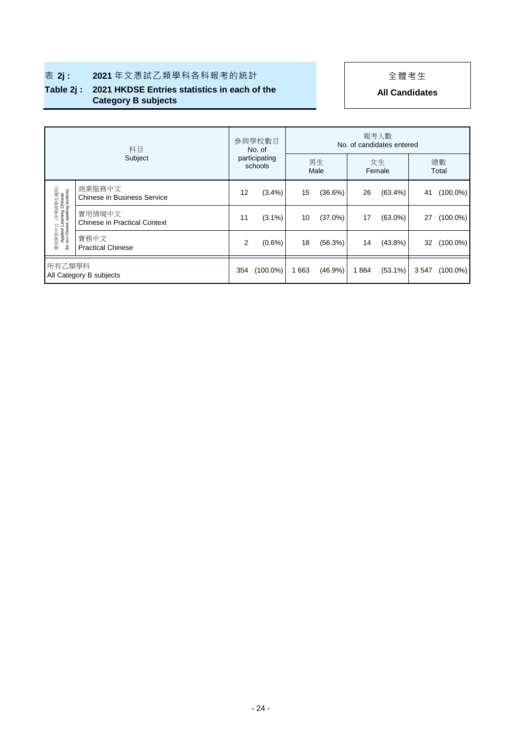## ■ 表 2j : 2021年文憑試乙類學科各科報考的統計 | | | 全體考生

### **Table 2j : 2021 HKDSE Entries statistics in each of the Category B subjects**

| 科目<br>Subject                                                                       |                                               | 參與學校數目<br>No. of<br>participating<br>schools |             | 報考人數<br>No. of candidates entered |            |              |            |             |             |  |
|-------------------------------------------------------------------------------------|-----------------------------------------------|----------------------------------------------|-------------|-----------------------------------|------------|--------------|------------|-------------|-------------|--|
|                                                                                     |                                               |                                              |             | 男生<br>Male                        |            | 女生<br>Female |            | 總數<br>Total |             |  |
| 應用學習中文 (非華語學生適用)<br>Applied Learning Chinese<br>(for non-Chinese speaking students) | 商業服務中文<br><b>Chinese in Business Service</b>  | 12                                           | $(3.4\%)$   | 15                                | $(36.6\%)$ | 26           | $(63.4\%)$ | 41          | $(100.0\%)$ |  |
|                                                                                     | 實用情境中文<br><b>Chinese in Practical Context</b> | 11                                           | $(3.1\%)$   | 10                                | $(37.0\%)$ | 17           | $(63.0\%)$ | 27          | $(100.0\%)$ |  |
|                                                                                     | 實務中文<br><b>Practical Chinese</b>              | 2                                            | $(0.6\%)$   | 18                                | (56.3%)    | 14           | $(43.8\%)$ | 32          | $(100.0\%)$ |  |
| 所有乙類學科<br>All Category B subjects                                                   |                                               | 354                                          | $(100.0\%)$ | 1 663                             | $(46.9\%)$ | 1884         | $(53.1\%)$ | 3547        | $(100.0\%)$ |  |